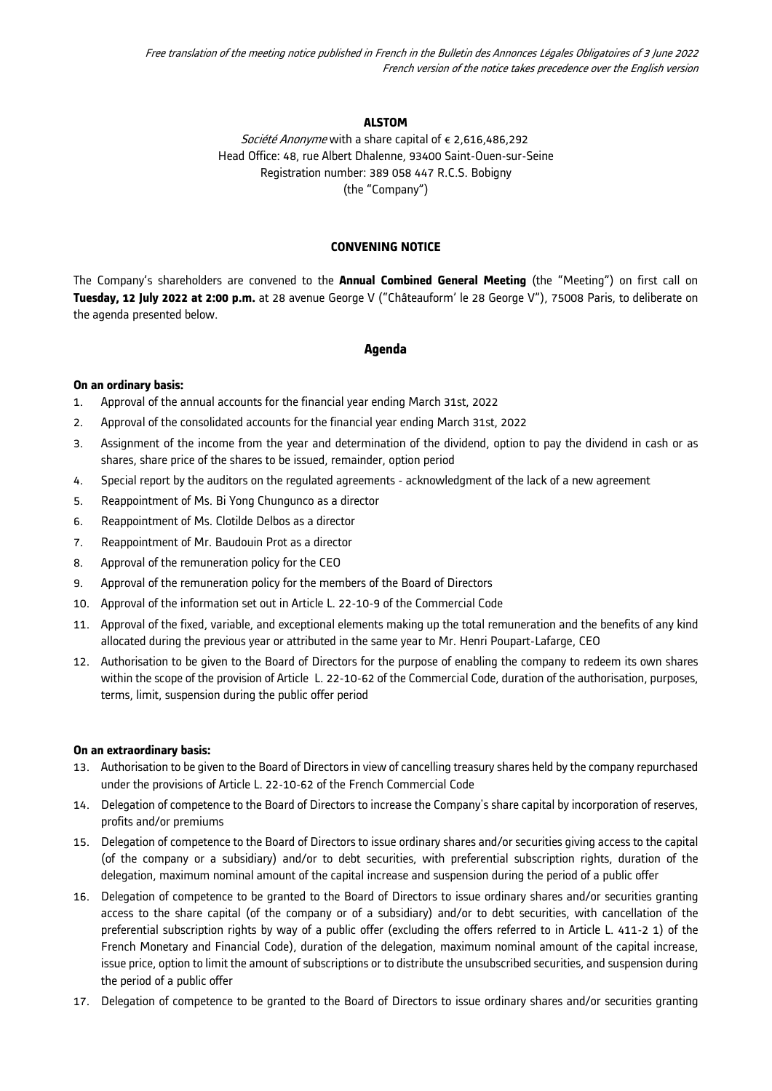## **ALSTOM**

Société Anonyme with a share capital of € 2,616,486,292 Head Office: 48, rue Albert Dhalenne, 93400 Saint-Ouen-sur-Seine Registration number: 389 058 447 R.C.S. Bobigny (the "Company")

### **CONVENING NOTICE**

The Company's shareholders are convened to the **Annual Combined General Meeting** (the "Meeting") on first call on **Tuesday, 12 July 2022 at 2:00 p.m.** at 28 avenue George V ("Châteauform' le 28 George V"), 75008 Paris, to deliberate on the agenda presented below.

### **Agenda**

### **On an ordinary basis:**

- 1. Approval of the annual accounts for the financial year ending March 31st, 2022
- 2. Approval of the consolidated accounts for the financial year ending March 31st, 2022
- 3. Assignment of the income from the year and determination of the dividend, option to pay the dividend in cash or as shares, share price of the shares to be issued, remainder, option period
- 4. Special report by the auditors on the regulated agreements acknowledgment of the lack of a new agreement
- 5. Reappointment of Ms. Bi Yong Chungunco as a director
- 6. Reappointment of Ms. Clotilde Delbos as a director
- 7. Reappointment of Mr. Baudouin Prot as a director
- 8. Approval of the remuneration policy for the CEO
- 9. Approval of the remuneration policy for the members of the Board of Directors
- 10. Approval of the information set out in Article L. 22-10-9 of the Commercial Code
- 11. Approval of the fixed, variable, and exceptional elements making up the total remuneration and the benefits of any kind allocated during the previous year or attributed in the same year to Mr. Henri Poupart-Lafarge, CEO
- 12. Authorisation to be given to the Board of Directors for the purpose of enabling the company to redeem its own shares within the scope of the provision of Article L. 22-10-62 of the Commercial Code, duration of the authorisation, purposes, terms, limit, suspension during the public offer period

#### **On an extraordinary basis:**

- 13. Authorisation to be given to the Board of Directors in view of cancelling treasury shares held by the company repurchased under the provisions of Article L. 22-10-62 of the French Commercial Code
- 14. Delegation of competence to the Board of Directors to increase the Company's share capital by incorporation of reserves, profits and/or premiums
- 15. Delegation of competence to the Board of Directors to issue ordinary shares and/or securities giving access to the capital (of the company or a subsidiary) and/or to debt securities, with preferential subscription rights, duration of the delegation, maximum nominal amount of the capital increase and suspension during the period of a public offer
- 16. Delegation of competence to be granted to the Board of Directors to issue ordinary shares and/or securities granting access to the share capital (of the company or of a subsidiary) and/or to debt securities, with cancellation of the preferential subscription rights by way of a public offer (excluding the offers referred to in Article L. 411-2 1) of the French Monetary and Financial Code), duration of the delegation, maximum nominal amount of the capital increase, issue price, option to limit the amount of subscriptions or to distribute the unsubscribed securities, and suspension during the period of a public offer
- 17. Delegation of competence to be granted to the Board of Directors to issue ordinary shares and/or securities granting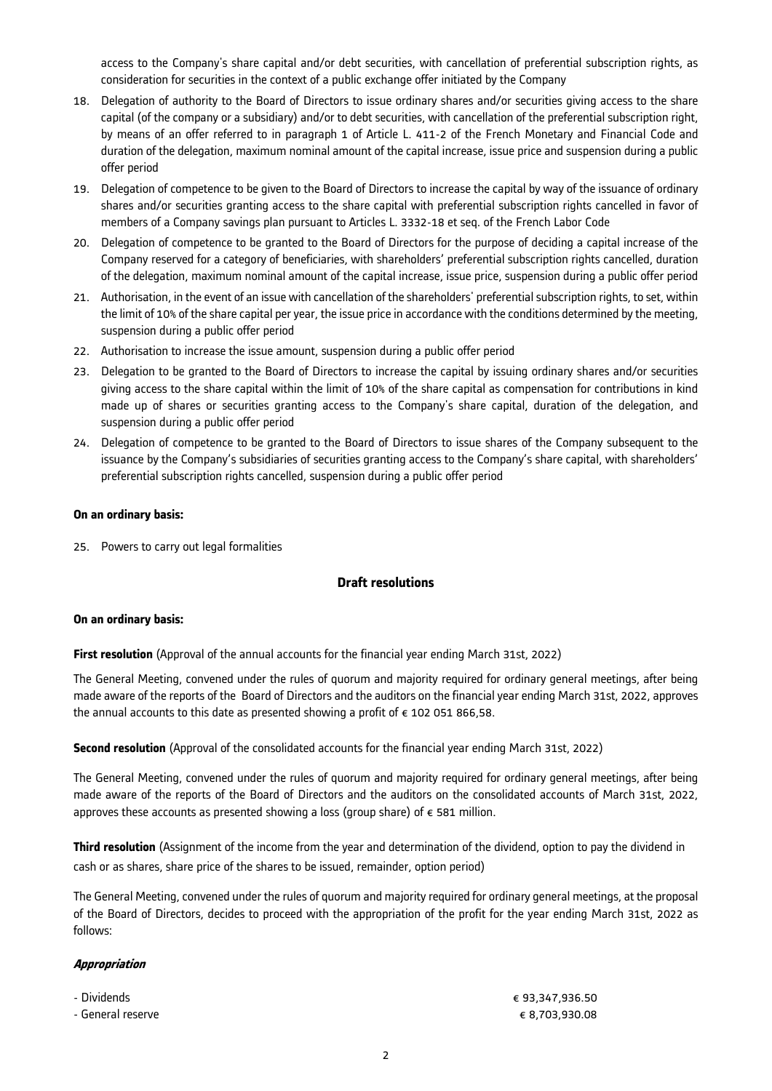access to the Company's share capital and/or debt securities, with cancellation of preferential subscription rights, as consideration for securities in the context of a public exchange offer initiated by the Company

- 18. Delegation of authority to the Board of Directors to issue ordinary shares and/or securities giving access to the share capital (of the company or a subsidiary) and/or to debt securities, with cancellation of the preferential subscription right, by means of an offer referred to in paragraph 1 of Article L. 411-2 of the French Monetary and Financial Code and duration of the delegation, maximum nominal amount of the capital increase, issue price and suspension during a public offer period
- 19. Delegation of competence to be given to the Board of Directors to increase the capital by way of the issuance of ordinary shares and/or securities granting access to the share capital with preferential subscription rights cancelled in favor of members of a Company savings plan pursuant to Articles L. 3332-18 et seq. of the French Labor Code
- 20. Delegation of competence to be granted to the Board of Directors for the purpose of deciding a capital increase of the Company reserved for a category of beneficiaries, with shareholders' preferential subscription rights cancelled, duration of the delegation, maximum nominal amount of the capital increase, issue price, suspension during a public offer period
- 21. Authorisation, in the event of an issue with cancellation of the shareholders' preferential subscription rights, to set, within the limit of 10% of the share capital per year, the issue price in accordance with the conditions determined by the meeting, suspension during a public offer period
- 22. Authorisation to increase the issue amount, suspension during a public offer period
- 23. Delegation to be granted to the Board of Directors to increase the capital by issuing ordinary shares and/or securities giving access to the share capital within the limit of 10% of the share capital as compensation for contributions in kind made up of shares or securities granting access to the Company's share capital, duration of the delegation, and suspension during a public offer period
- 24. Delegation of competence to be granted to the Board of Directors to issue shares of the Company subsequent to the issuance by the Company's subsidiaries of securities granting access to the Company's share capital, with shareholders' preferential subscription rights cancelled, suspension during a public offer period

## **On an ordinary basis:**

25. Powers to carry out legal formalities

# **Draft resolutions**

### **On an ordinary basis:**

**First resolution** (Approval of the annual accounts for the financial year ending March 31st, 2022)

The General Meeting, convened under the rules of quorum and majority required for ordinary general meetings, after being made aware of the reports of the Board of Directors and the auditors on the financial year ending March 31st, 2022, approves the annual accounts to this date as presented showing a profit of  $\epsilon$  102 051 866,58.

**Second resolution** (Approval of the consolidated accounts for the financial year ending March 31st, 2022)

The General Meeting, convened under the rules of quorum and majority required for ordinary general meetings, after being made aware of the reports of the Board of Directors and the auditors on the consolidated accounts of March 31st, 2022, approves these accounts as presented showing a loss (group share) of  $\epsilon$  581 million.

**Third resolution** (Assignment of the income from the year and determination of the dividend, option to pay the dividend in cash or as shares, share price of the shares to be issued, remainder, option period)

The General Meeting, convened under the rules of quorum and majority required for ordinary general meetings, at the proposal of the Board of Directors, decides to proceed with the appropriation of the profit for the year ending March 31st, 2022 as follows:

### **Appropriation**

- 
- General reserve € 8,703,930.08

- Dividends € 93,347,936.50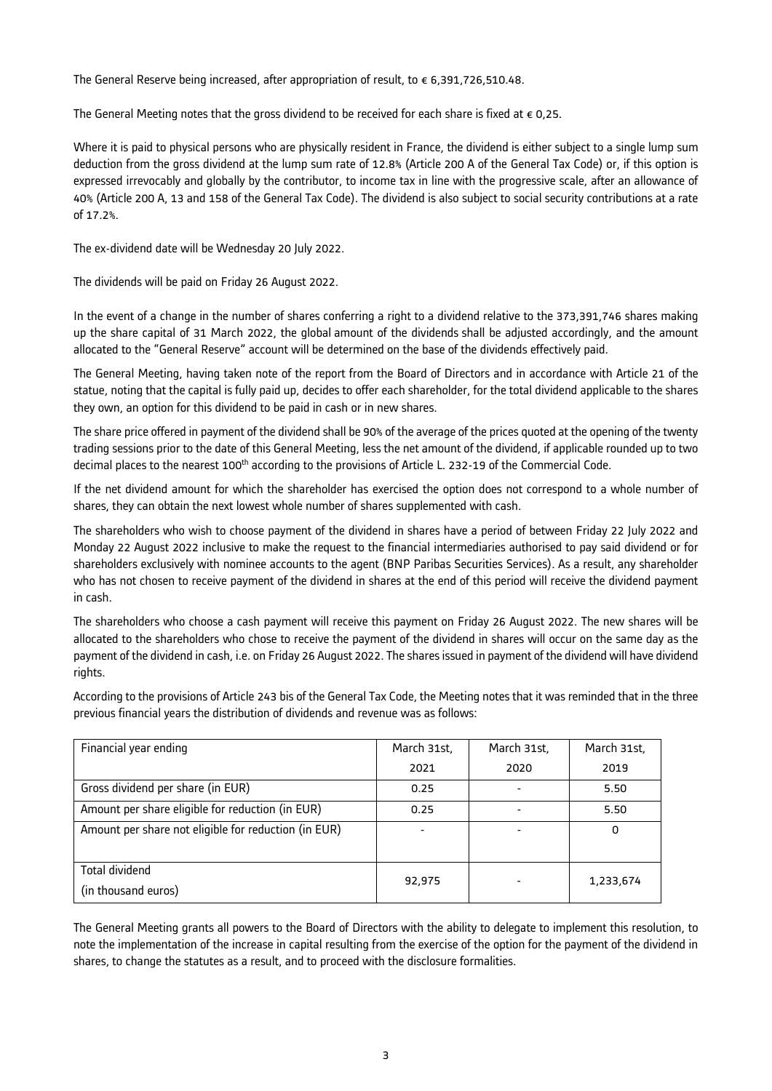The General Reserve being increased, after appropriation of result, to  $\epsilon$  6,391,726,510.48.

The General Meeting notes that the gross dividend to be received for each share is fixed at  $\epsilon$  0,25.

Where it is paid to physical persons who are physically resident in France, the dividend is either subject to a single lump sum deduction from the gross dividend at the lump sum rate of 12.8% (Article 200 A of the General Tax Code) or, if this option is expressed irrevocably and globally by the contributor, to income tax in line with the progressive scale, after an allowance of 40% (Article 200 A, 13 and 158 of the General Tax Code). The dividend is also subject to social security contributions at a rate of 17.2%.

The ex-dividend date will be Wednesday 20 July 2022.

The dividends will be paid on Friday 26 August 2022.

In the event of a change in the number of shares conferring a right to a dividend relative to the 373,391,746 shares making up the share capital of 31 March 2022, the global amount of the dividends shall be adjusted accordingly, and the amount allocated to the "General Reserve" account will be determined on the base of the dividends effectively paid.

The General Meeting, having taken note of the report from the Board of Directors and in accordance with Article 21 of the statue, noting that the capital is fully paid up, decides to offer each shareholder, for the total dividend applicable to the shares they own, an option for this dividend to be paid in cash or in new shares.

The share price offered in payment of the dividend shall be 90% of the average of the prices quoted at the opening of the twenty trading sessions prior to the date of this General Meeting, less the net amount of the dividend, if applicable rounded up to two decimal places to the nearest 100<sup>th</sup> according to the provisions of Article L. 232-19 of the Commercial Code.

If the net dividend amount for which the shareholder has exercised the option does not correspond to a whole number of shares, they can obtain the next lowest whole number of shares supplemented with cash.

The shareholders who wish to choose payment of the dividend in shares have a period of between Friday 22 July 2022 and Monday 22 August 2022 inclusive to make the request to the financial intermediaries authorised to pay said dividend or for shareholders exclusively with nominee accounts to the agent (BNP Paribas Securities Services). As a result, any shareholder who has not chosen to receive payment of the dividend in shares at the end of this period will receive the dividend payment in cash.

The shareholders who choose a cash payment will receive this payment on Friday 26 August 2022. The new shares will be allocated to the shareholders who chose to receive the payment of the dividend in shares will occur on the same day as the payment of the dividend in cash, i.e. on Friday 26 August 2022. The shares issued in payment of the dividend will have dividend rights.

According to the provisions of Article 243 bis of the General Tax Code, the Meeting notes that it was reminded that in the three previous financial years the distribution of dividends and revenue was as follows:

| Financial year ending                                | March 31st, | March 31st, | March 31st, |
|------------------------------------------------------|-------------|-------------|-------------|
|                                                      | 2021        | 2020        | 2019        |
| Gross dividend per share (in EUR)                    | 0.25        |             | 5.50        |
| Amount per share eligible for reduction (in EUR)     | 0.25        |             | 5.50        |
| Amount per share not eligible for reduction (in EUR) |             |             | 0           |
|                                                      |             |             |             |
| <b>Total dividend</b>                                | 92,975      |             | 1,233,674   |
| (in thousand euros)                                  |             |             |             |

The General Meeting grants all powers to the Board of Directors with the ability to delegate to implement this resolution, to note the implementation of the increase in capital resulting from the exercise of the option for the payment of the dividend in shares, to change the statutes as a result, and to proceed with the disclosure formalities.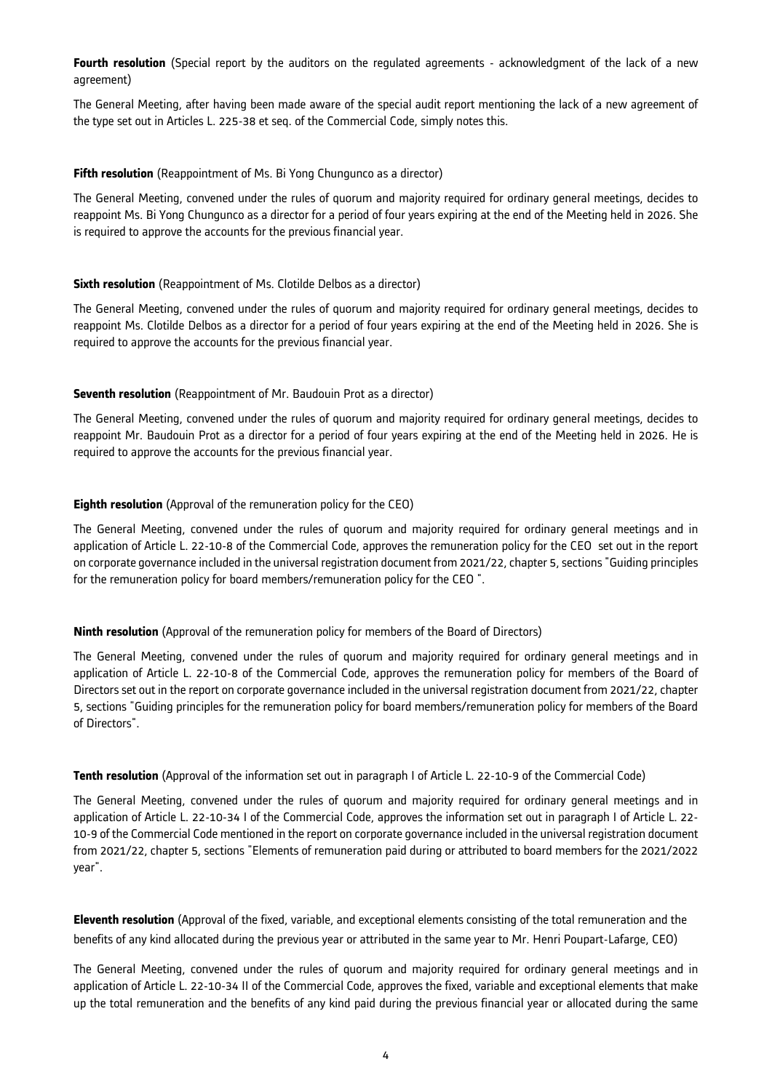**Fourth resolution** (Special report by the auditors on the regulated agreements - acknowledgment of the lack of a new agreement)

The General Meeting, after having been made aware of the special audit report mentioning the lack of a new agreement of the type set out in Articles L. 225-38 et seq. of the Commercial Code, simply notes this.

### **Fifth resolution** (Reappointment of Ms. Bi Yong Chungunco as a director)

The General Meeting, convened under the rules of quorum and majority required for ordinary general meetings, decides to reappoint Ms. Bi Yong Chungunco as a director for a period of four years expiring at the end of the Meeting held in 2026. She is required to approve the accounts for the previous financial year.

### **Sixth resolution** (Reappointment of Ms. Clotilde Delbos as a director)

The General Meeting, convened under the rules of quorum and majority required for ordinary general meetings, decides to reappoint Ms. Clotilde Delbos as a director for a period of four years expiring at the end of the Meeting held in 2026. She is required to approve the accounts for the previous financial year.

## **Seventh resolution** (Reappointment of Mr. Baudouin Prot as a director)

The General Meeting, convened under the rules of quorum and majority required for ordinary general meetings, decides to reappoint Mr. Baudouin Prot as a director for a period of four years expiring at the end of the Meeting held in 2026. He is required to approve the accounts for the previous financial year.

## **Eighth resolution** (Approval of the remuneration policy for the CEO)

The General Meeting, convened under the rules of quorum and majority required for ordinary general meetings and in application of Article L. 22-10-8 of the Commercial Code, approves the remuneration policy for the CEO set out in the report on corporate governance included in the universal registration document from 2021/22, chapter 5, sections "Guiding principles for the remuneration policy for board members/remuneration policy for the CEO ".

### **Ninth resolution** (Approval of the remuneration policy for members of the Board of Directors)

The General Meeting, convened under the rules of quorum and majority required for ordinary general meetings and in application of Article L. 22-10-8 of the Commercial Code, approves the remuneration policy for members of the Board of Directors set out in the report on corporate governance included in the universal registration document from 2021/22, chapter 5, sections "Guiding principles for the remuneration policy for board members/remuneration policy for members of the Board of Directors".

### **Tenth resolution** (Approval of the information set out in paragraph I of Article L. 22-10-9 of the Commercial Code)

The General Meeting, convened under the rules of quorum and majority required for ordinary general meetings and in application of Article L. 22-10-34 I of the Commercial Code, approves the information set out in paragraph I of Article L. 22- 10-9 of the Commercial Code mentioned in the report on corporate governance included in the universal registration document from 2021/22, chapter 5, sections "Elements of remuneration paid during or attributed to board members for the 2021/2022 year".

**Eleventh resolution** (Approval of the fixed, variable, and exceptional elements consisting of the total remuneration and the benefits of any kind allocated during the previous year or attributed in the same year to Mr. Henri Poupart-Lafarge, CEO)

The General Meeting, convened under the rules of quorum and majority required for ordinary general meetings and in application of Article L. 22-10-34 II of the Commercial Code, approves the fixed, variable and exceptional elements that make up the total remuneration and the benefits of any kind paid during the previous financial year or allocated during the same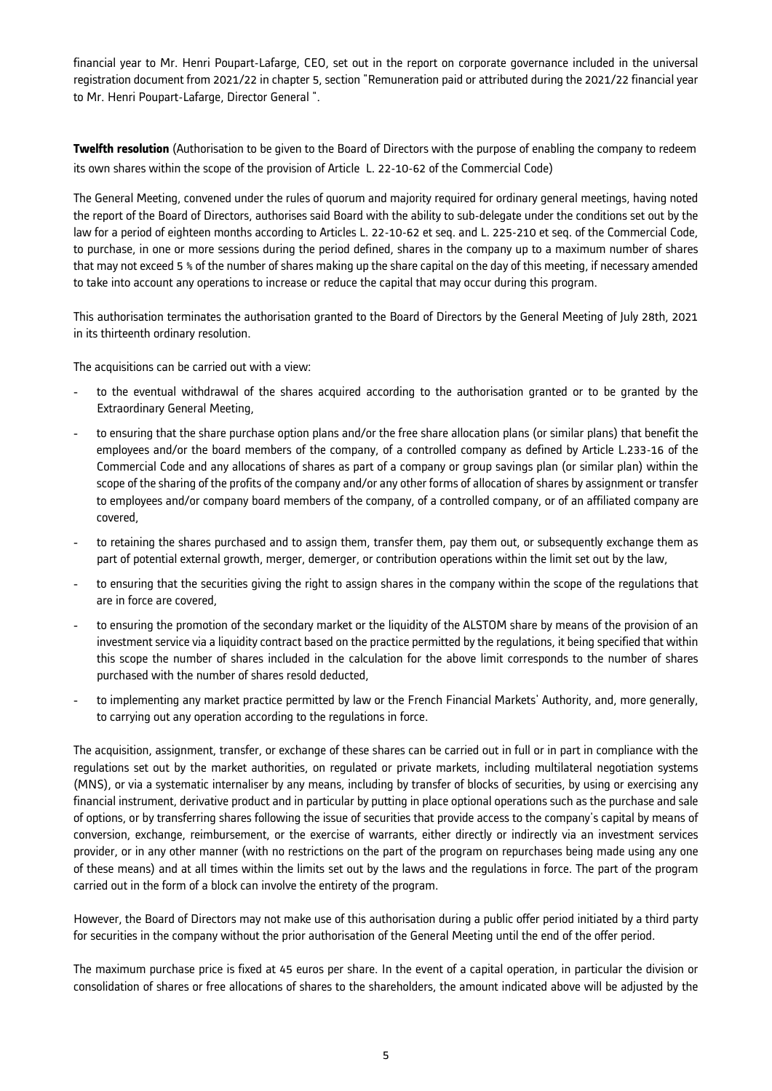financial year to Mr. Henri Poupart-Lafarge, CEO, set out in the report on corporate governance included in the universal registration document from 2021/22 in chapter 5, section "Remuneration paid or attributed during the 2021/22 financial year to Mr. Henri Poupart-Lafarge, Director General ".

**Twelfth resolution** (Authorisation to be given to the Board of Directors with the purpose of enabling the company to redeem its own shares within the scope of the provision of Article L. 22-10-62 of the Commercial Code)

The General Meeting, convened under the rules of quorum and majority required for ordinary general meetings, having noted the report of the Board of Directors, authorises said Board with the ability to sub-delegate under the conditions set out by the law for a period of eighteen months according to Articles L. 22-10-62 et seq. and L. 225-210 et seq. of the Commercial Code, to purchase, in one or more sessions during the period defined, shares in the company up to a maximum number of shares that may not exceed 5 % of the number of shares making up the share capital on the day of this meeting, if necessary amended to take into account any operations to increase or reduce the capital that may occur during this program.

This authorisation terminates the authorisation granted to the Board of Directors by the General Meeting of July 28th, 2021 in its thirteenth ordinary resolution.

The acquisitions can be carried out with a view:

- to the eventual withdrawal of the shares acquired according to the authorisation granted or to be granted by the Extraordinary General Meeting,
- to ensuring that the share purchase option plans and/or the free share allocation plans (or similar plans) that benefit the employees and/or the board members of the company, of a controlled company as defined by Article L.233-16 of the Commercial Code and any allocations of shares as part of a company or group savings plan (or similar plan) within the scope of the sharing of the profits of the company and/or any other forms of allocation of shares by assignment or transfer to employees and/or company board members of the company, of a controlled company, or of an affiliated company are covered,
- to retaining the shares purchased and to assign them, transfer them, pay them out, or subsequently exchange them as part of potential external growth, merger, demerger, or contribution operations within the limit set out by the law,
- to ensuring that the securities giving the right to assign shares in the company within the scope of the regulations that are in force are covered,
- to ensuring the promotion of the secondary market or the liquidity of the ALSTOM share by means of the provision of an investment service via a liquidity contract based on the practice permitted by the regulations, it being specified that within this scope the number of shares included in the calculation for the above limit corresponds to the number of shares purchased with the number of shares resold deducted,
- to implementing any market practice permitted by law or the French Financial Markets' Authority, and, more generally, to carrying out any operation according to the regulations in force.

The acquisition, assignment, transfer, or exchange of these shares can be carried out in full or in part in compliance with the regulations set out by the market authorities, on regulated or private markets, including multilateral negotiation systems (MNS), or via a systematic internaliser by any means, including by transfer of blocks of securities, by using or exercising any financial instrument, derivative product and in particular by putting in place optional operations such as the purchase and sale of options, or by transferring shares following the issue of securities that provide access to the company's capital by means of conversion, exchange, reimbursement, or the exercise of warrants, either directly or indirectly via an investment services provider, or in any other manner (with no restrictions on the part of the program on repurchases being made using any one of these means) and at all times within the limits set out by the laws and the regulations in force. The part of the program carried out in the form of a block can involve the entirety of the program.

However, the Board of Directors may not make use of this authorisation during a public offer period initiated by a third party for securities in the company without the prior authorisation of the General Meeting until the end of the offer period.

The maximum purchase price is fixed at 45 euros per share. In the event of a capital operation, in particular the division or consolidation of shares or free allocations of shares to the shareholders, the amount indicated above will be adjusted by the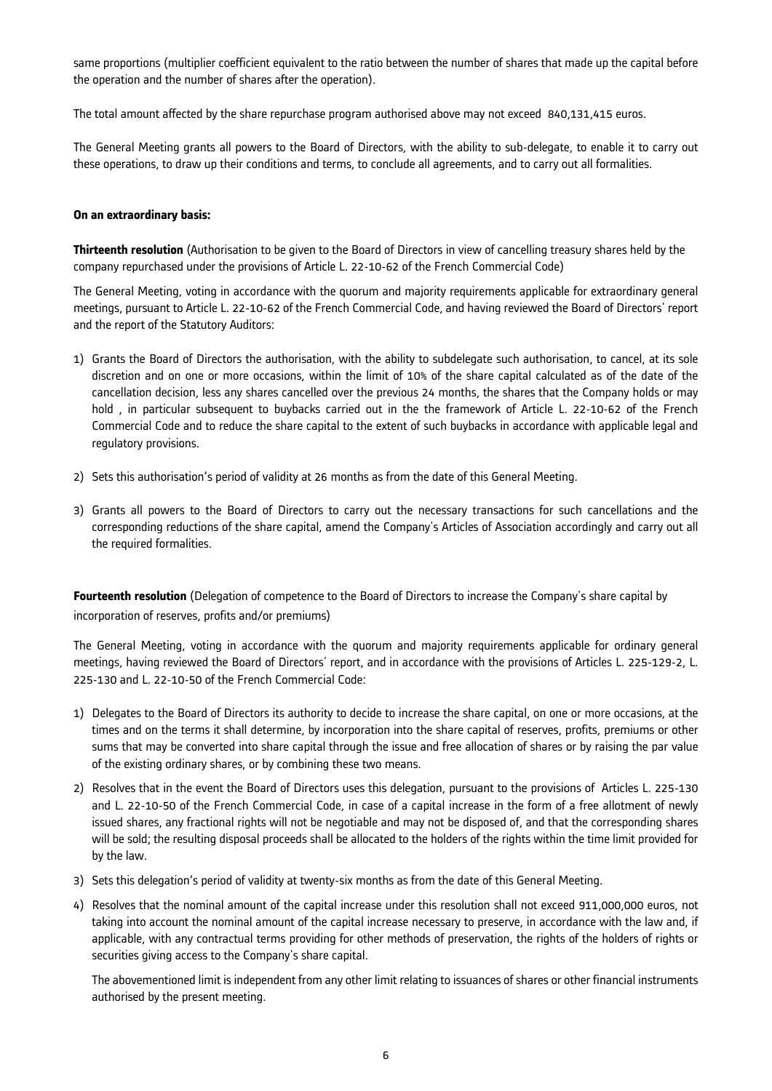same proportions (multiplier coefficient equivalent to the ratio between the number of shares that made up the capital before the operation and the number of shares after the operation).

The total amount affected by the share repurchase program authorised above may not exceed 840,131,415 euros.

The General Meeting grants all powers to the Board of Directors, with the ability to sub-delegate, to enable it to carry out these operations, to draw up their conditions and terms, to conclude all agreements, and to carry out all formalities.

### **On an extraordinary basis:**

**Thirteenth resolution** (Authorisation to be given to the Board of Directors in view of cancelling treasury shares held by the company repurchased under the provisions of Article L. 22-10-62 of the French Commercial Code)

The General Meeting, voting in accordance with the quorum and majority requirements applicable for extraordinary general meetings, pursuant to Article L. 22-10-62 of the French Commercial Code, and having reviewed the Board of Directors' report and the report of the Statutory Auditors:

- 1) Grants the Board of Directors the authorisation, with the ability to subdelegate such authorisation, to cancel, at its sole discretion and on one or more occasions, within the limit of 10% of the share capital calculated as of the date of the cancellation decision, less any shares cancelled over the previous 24 months, the shares that the Company holds or may hold, in particular subsequent to buybacks carried out in the the framework of Article L. 22-10-62 of the French Commercial Code and to reduce the share capital to the extent of such buybacks in accordance with applicable legal and regulatory provisions.
- 2) Sets this authorisation's period of validity at 26 months as from the date of this General Meeting.
- 3) Grants all powers to the Board of Directors to carry out the necessary transactions for such cancellations and the corresponding reductions of the share capital, amend the Company's Articles of Association accordingly and carry out all the required formalities.

**Fourteenth resolution** (Delegation of competence to the Board of Directors to increase the Company's share capital by incorporation of reserves, profits and/or premiums)

The General Meeting, voting in accordance with the quorum and majority requirements applicable for ordinary general meetings, having reviewed the Board of Directors' report, and in accordance with the provisions of Articles L. 225-129-2, L. 225-130 and L. 22-10-50 of the French Commercial Code:

- 1) Delegates to the Board of Directors its authority to decide to increase the share capital, on one or more occasions, at the times and on the terms it shall determine, by incorporation into the share capital of reserves, profits, premiums or other sums that may be converted into share capital through the issue and free allocation of shares or by raising the par value of the existing ordinary shares, or by combining these two means.
- 2) Resolves that in the event the Board of Directors uses this delegation, pursuant to the provisions of Articles L. 225-130 and L. 22-10-50 of the French Commercial Code, in case of a capital increase in the form of a free allotment of newly issued shares, any fractional rights will not be negotiable and may not be disposed of, and that the corresponding shares will be sold; the resulting disposal proceeds shall be allocated to the holders of the rights within the time limit provided for by the law.
- 3) Sets this delegation's period of validity at twenty-six months as from the date of this General Meeting.
- 4) Resolves that the nominal amount of the capital increase under this resolution shall not exceed 911,000,000 euros, not taking into account the nominal amount of the capital increase necessary to preserve, in accordance with the law and, if applicable, with any contractual terms providing for other methods of preservation, the rights of the holders of rights or securities giving access to the Company's share capital.

The abovementioned limit is independent from any other limit relating to issuances of shares or other financial instruments authorised by the present meeting.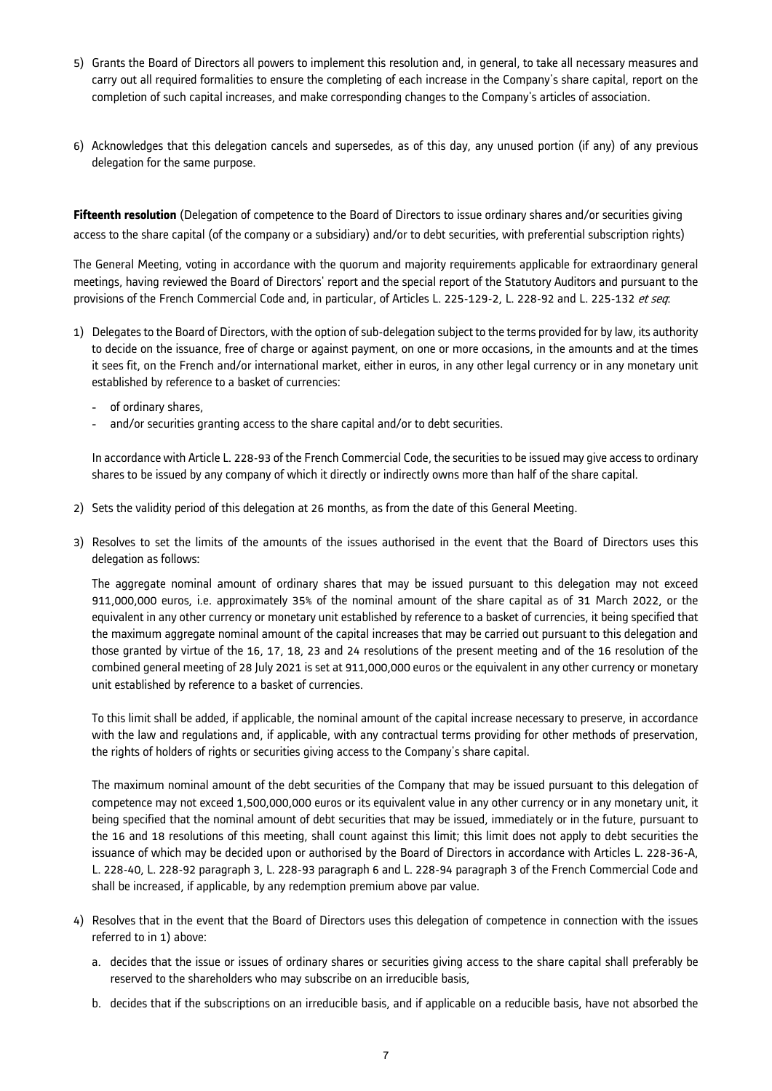- 5) Grants the Board of Directors all powers to implement this resolution and, in general, to take all necessary measures and carry out all required formalities to ensure the completing of each increase in the Company's share capital, report on the completion of such capital increases, and make corresponding changes to the Company's articles of association.
- 6) Acknowledges that this delegation cancels and supersedes, as of this day, any unused portion (if any) of any previous delegation for the same purpose.

**Fifteenth resolution** (Delegation of competence to the Board of Directors to issue ordinary shares and/or securities giving access to the share capital (of the company or a subsidiary) and/or to debt securities, with preferential subscription rights)

The General Meeting, voting in accordance with the quorum and majority requirements applicable for extraordinary general meetings, having reviewed the Board of Directors' report and the special report of the Statutory Auditors and pursuant to the provisions of the French Commercial Code and, in particular, of Articles L. 225-129-2, L. 228-92 and L. 225-132 et seq.

- 1) Delegates to the Board of Directors, with the option of sub-delegation subject to the terms provided for by law, its authority to decide on the issuance, free of charge or against payment, on one or more occasions, in the amounts and at the times it sees fit, on the French and/or international market, either in euros, in any other legal currency or in any monetary unit established by reference to a basket of currencies:
	- of ordinary shares,
	- and/or securities granting access to the share capital and/or to debt securities.

In accordance with Article L. 228-93 of the French Commercial Code, the securities to be issued may give access to ordinary shares to be issued by any company of which it directly or indirectly owns more than half of the share capital.

- 2) Sets the validity period of this delegation at 26 months, as from the date of this General Meeting.
- 3) Resolves to set the limits of the amounts of the issues authorised in the event that the Board of Directors uses this delegation as follows:

The aggregate nominal amount of ordinary shares that may be issued pursuant to this delegation may not exceed 911,000,000 euros, i.e. approximately 35% of the nominal amount of the share capital as of 31 March 2022, or the equivalent in any other currency or monetary unit established by reference to a basket of currencies, it being specified that the maximum aggregate nominal amount of the capital increases that may be carried out pursuant to this delegation and those granted by virtue of the 16, 17, 18, 23 and 24 resolutions of the present meeting and of the 16 resolution of the combined general meeting of 28 July 2021 is set at 911,000,000 euros or the equivalent in any other currency or monetary unit established by reference to a basket of currencies.

To this limit shall be added, if applicable, the nominal amount of the capital increase necessary to preserve, in accordance with the law and regulations and, if applicable, with any contractual terms providing for other methods of preservation, the rights of holders of rights or securities giving access to the Company's share capital.

The maximum nominal amount of the debt securities of the Company that may be issued pursuant to this delegation of competence may not exceed 1,500,000,000 euros or its equivalent value in any other currency or in any monetary unit, it being specified that the nominal amount of debt securities that may be issued, immediately or in the future, pursuant to the 16 and 18 resolutions of this meeting, shall count against this limit; this limit does not apply to debt securities the issuance of which may be decided upon or authorised by the Board of Directors in accordance with Articles L. 228-36-A, L. 228-40, L. 228-92 paragraph 3, L. 228-93 paragraph 6 and L. 228-94 paragraph 3 of the French Commercial Code and shall be increased, if applicable, by any redemption premium above par value.

- 4) Resolves that in the event that the Board of Directors uses this delegation of competence in connection with the issues referred to in 1) above:
	- a. decides that the issue or issues of ordinary shares or securities giving access to the share capital shall preferably be reserved to the shareholders who may subscribe on an irreducible basis,
	- b. decides that if the subscriptions on an irreducible basis, and if applicable on a reducible basis, have not absorbed the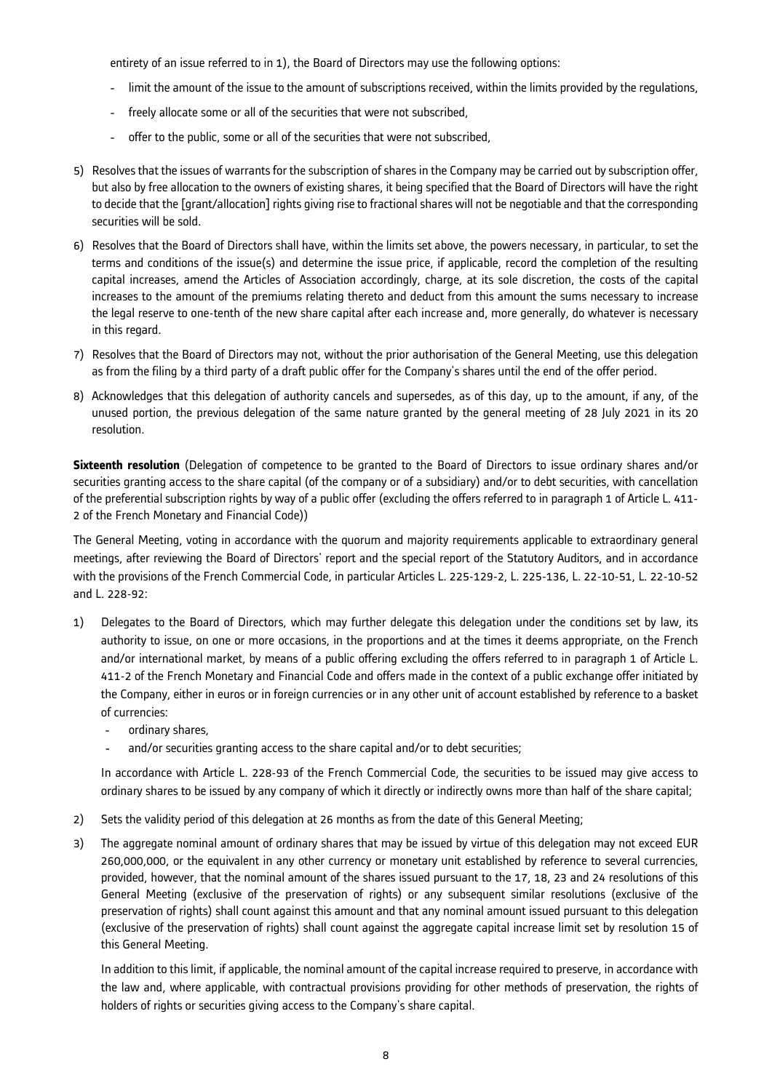entirety of an issue referred to in 1), the Board of Directors may use the following options:

- limit the amount of the issue to the amount of subscriptions received, within the limits provided by the regulations,
- freely allocate some or all of the securities that were not subscribed,
- offer to the public, some or all of the securities that were not subscribed.
- 5) Resolves that the issues of warrants for the subscription of shares in the Company may be carried out by subscription offer, but also by free allocation to the owners of existing shares, it being specified that the Board of Directors will have the right to decide that the [grant/allocation] rights giving rise to fractional shares will not be negotiable and that the corresponding securities will be sold.
- 6) Resolves that the Board of Directors shall have, within the limits set above, the powers necessary, in particular, to set the terms and conditions of the issue(s) and determine the issue price, if applicable, record the completion of the resulting capital increases, amend the Articles of Association accordingly, charge, at its sole discretion, the costs of the capital increases to the amount of the premiums relating thereto and deduct from this amount the sums necessary to increase the legal reserve to one-tenth of the new share capital after each increase and, more generally, do whatever is necessary in this regard.
- 7) Resolves that the Board of Directors may not, without the prior authorisation of the General Meeting, use this delegation as from the filing by a third party of a draft public offer for the Company's shares until the end of the offer period.
- 8) Acknowledges that this delegation of authority cancels and supersedes, as of this day, up to the amount, if any, of the unused portion, the previous delegation of the same nature granted by the general meeting of 28 July 2021 in its 20 resolution.

**Sixteenth resolution** (Delegation of competence to be granted to the Board of Directors to issue ordinary shares and/or securities granting access to the share capital (of the company or of a subsidiary) and/or to debt securities, with cancellation of the preferential subscription rights by way of a public offer (excluding the offers referred to in paragraph 1 of Article L. 411- 2 of the French Monetary and Financial Code))

The General Meeting, voting in accordance with the quorum and majority requirements applicable to extraordinary general meetings, after reviewing the Board of Directors' report and the special report of the Statutory Auditors, and in accordance with the provisions of the French Commercial Code, in particular Articles L. 225-129-2, L. 225-136, L. 22-10-51, L. 22-10-52 and L. 228-92:

- 1) Delegates to the Board of Directors, which may further delegate this delegation under the conditions set by law, its authority to issue, on one or more occasions, in the proportions and at the times it deems appropriate, on the French and/or international market, by means of a public offering excluding the offers referred to in paragraph 1 of Article L. 411-2 of the French Monetary and Financial Code and offers made in the context of a public exchange offer initiated by the Company, either in euros or in foreign currencies or in any other unit of account established by reference to a basket of currencies:
	- ordinary shares,
	- and/or securities granting access to the share capital and/or to debt securities;

In accordance with Article L. 228-93 of the French Commercial Code, the securities to be issued may give access to ordinary shares to be issued by any company of which it directly or indirectly owns more than half of the share capital;

- 2) Sets the validity period of this delegation at 26 months as from the date of this General Meeting;
- 3) The aggregate nominal amount of ordinary shares that may be issued by virtue of this delegation may not exceed EUR 260,000,000, or the equivalent in any other currency or monetary unit established by reference to several currencies, provided, however, that the nominal amount of the shares issued pursuant to the 17, 18, 23 and 24 resolutions of this General Meeting (exclusive of the preservation of rights) or any subsequent similar resolutions (exclusive of the preservation of rights) shall count against this amount and that any nominal amount issued pursuant to this delegation (exclusive of the preservation of rights) shall count against the aggregate capital increase limit set by resolution 15 of this General Meeting.

In addition to this limit, if applicable, the nominal amount of the capital increase required to preserve, in accordance with the law and, where applicable, with contractual provisions providing for other methods of preservation, the rights of holders of rights or securities giving access to the Company's share capital.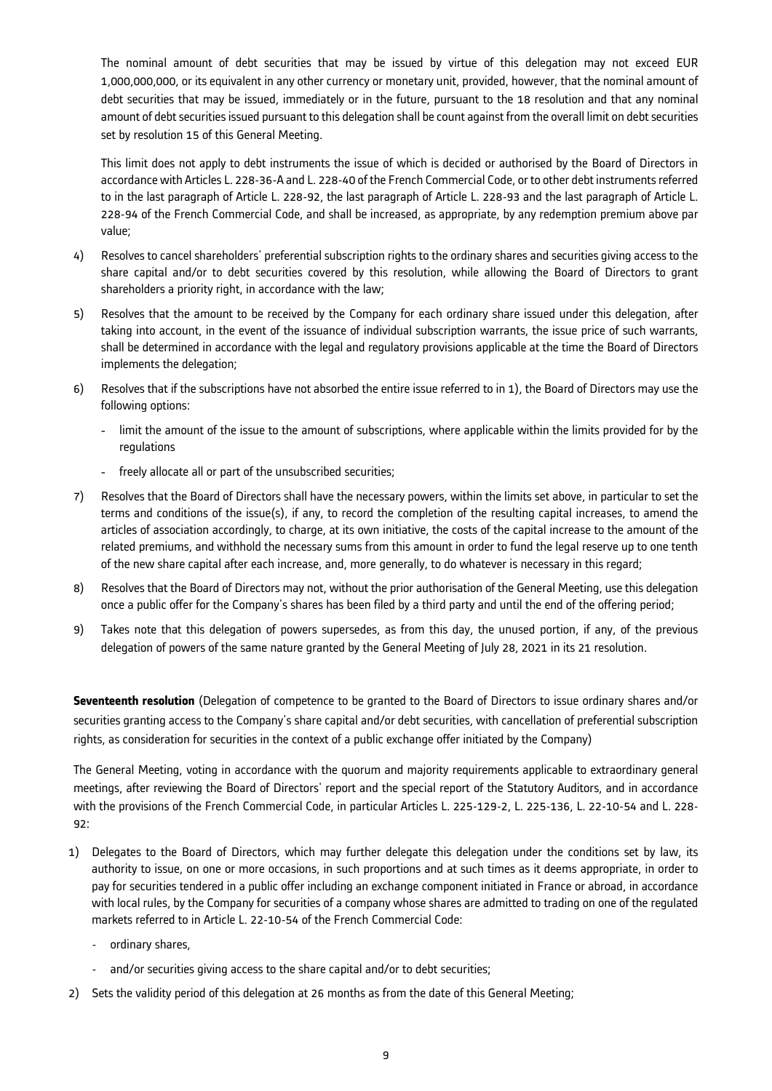The nominal amount of debt securities that may be issued by virtue of this delegation may not exceed EUR 1,000,000,000, or its equivalent in any other currency or monetary unit, provided, however, that the nominal amount of debt securities that may be issued, immediately or in the future, pursuant to the 18 resolution and that any nominal amount of debt securities issued pursuant to this delegation shall be count against from the overall limit on debt securities set by resolution 15 of this General Meeting.

This limit does not apply to debt instruments the issue of which is decided or authorised by the Board of Directors in accordance with Articles L. 228-36-A and L. 228-40 of the French Commercial Code, or to other debt instruments referred to in the last paragraph of Article L. 228-92, the last paragraph of Article L. 228-93 and the last paragraph of Article L. 228-94 of the French Commercial Code, and shall be increased, as appropriate, by any redemption premium above par value;

- 4) Resolves to cancel shareholders' preferential subscription rights to the ordinary shares and securities giving access to the share capital and/or to debt securities covered by this resolution, while allowing the Board of Directors to grant shareholders a priority right, in accordance with the law;
- 5) Resolves that the amount to be received by the Company for each ordinary share issued under this delegation, after taking into account, in the event of the issuance of individual subscription warrants, the issue price of such warrants, shall be determined in accordance with the legal and regulatory provisions applicable at the time the Board of Directors implements the delegation;
- 6) Resolves that if the subscriptions have not absorbed the entire issue referred to in 1), the Board of Directors may use the following options:
	- limit the amount of the issue to the amount of subscriptions, where applicable within the limits provided for by the regulations
	- freely allocate all or part of the unsubscribed securities;
- 7) Resolves that the Board of Directors shall have the necessary powers, within the limits set above, in particular to set the terms and conditions of the issue(s), if any, to record the completion of the resulting capital increases, to amend the articles of association accordingly, to charge, at its own initiative, the costs of the capital increase to the amount of the related premiums, and withhold the necessary sums from this amount in order to fund the legal reserve up to one tenth of the new share capital after each increase, and, more generally, to do whatever is necessary in this regard;
- 8) Resolves that the Board of Directors may not, without the prior authorisation of the General Meeting, use this delegation once a public offer for the Company's shares has been filed by a third party and until the end of the offering period;
- 9) Takes note that this delegation of powers supersedes, as from this day, the unused portion, if any, of the previous delegation of powers of the same nature granted by the General Meeting of July 28, 2021 in its 21 resolution.

**Seventeenth resolution** (Delegation of competence to be granted to the Board of Directors to issue ordinary shares and/or securities granting access to the Company's share capital and/or debt securities, with cancellation of preferential subscription rights, as consideration for securities in the context of a public exchange offer initiated by the Company)

The General Meeting, voting in accordance with the quorum and majority requirements applicable to extraordinary general meetings, after reviewing the Board of Directors' report and the special report of the Statutory Auditors, and in accordance with the provisions of the French Commercial Code, in particular Articles L. 225-129-2, L. 225-136, L. 22-10-54 and L. 228- 92:

- 1) Delegates to the Board of Directors, which may further delegate this delegation under the conditions set by law, its authority to issue, on one or more occasions, in such proportions and at such times as it deems appropriate, in order to pay for securities tendered in a public offer including an exchange component initiated in France or abroad, in accordance with local rules, by the Company for securities of a company whose shares are admitted to trading on one of the regulated markets referred to in Article L. 22-10-54 of the French Commercial Code:
	- ordinary shares.
	- and/or securities giving access to the share capital and/or to debt securities;
- 2) Sets the validity period of this delegation at 26 months as from the date of this General Meeting;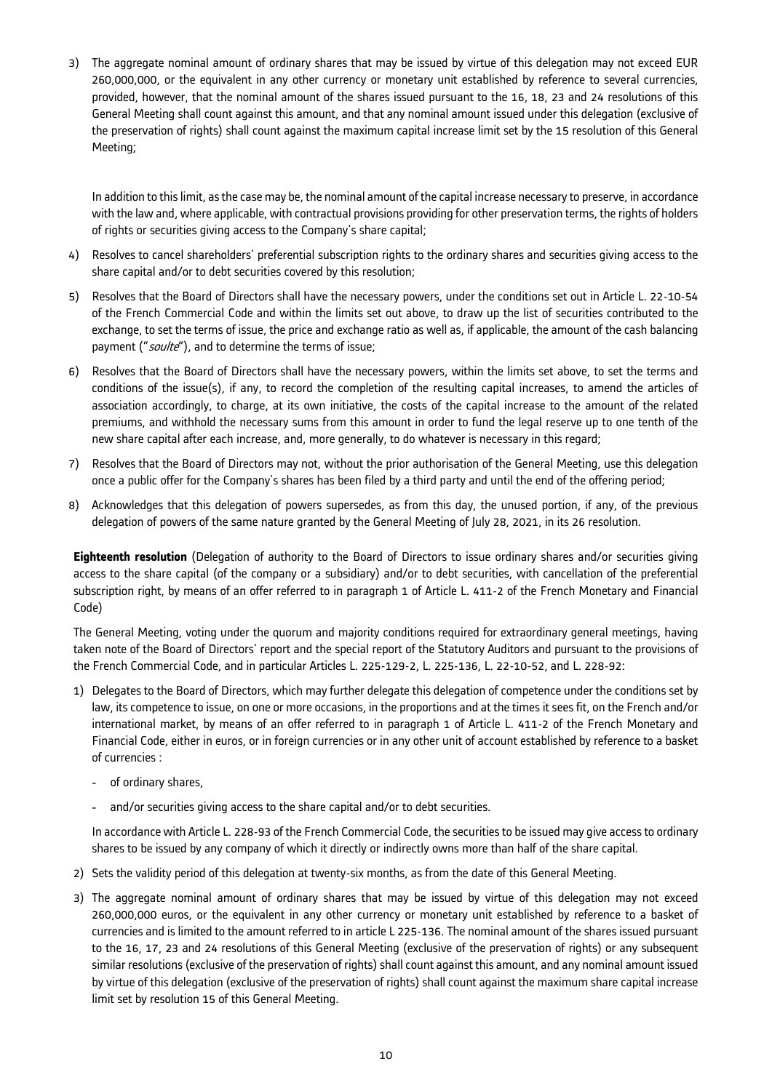3) The aggregate nominal amount of ordinary shares that may be issued by virtue of this delegation may not exceed EUR 260,000,000, or the equivalent in any other currency or monetary unit established by reference to several currencies, provided, however, that the nominal amount of the shares issued pursuant to the 16, 18, 23 and 24 resolutions of this General Meeting shall count against this amount, and that any nominal amount issued under this delegation (exclusive of the preservation of rights) shall count against the maximum capital increase limit set by the 15 resolution of this General Meeting;

In addition to this limit, as the case may be, the nominal amount of the capital increase necessary to preserve, in accordance with the law and, where applicable, with contractual provisions providing for other preservation terms, the rights of holders of rights or securities giving access to the Company's share capital;

- 4) Resolves to cancel shareholders' preferential subscription rights to the ordinary shares and securities giving access to the share capital and/or to debt securities covered by this resolution;
- 5) Resolves that the Board of Directors shall have the necessary powers, under the conditions set out in Article L. 22-10-54 of the French Commercial Code and within the limits set out above, to draw up the list of securities contributed to the exchange, to set the terms of issue, the price and exchange ratio as well as, if applicable, the amount of the cash balancing payment ("soulte"), and to determine the terms of issue;
- 6) Resolves that the Board of Directors shall have the necessary powers, within the limits set above, to set the terms and conditions of the issue(s), if any, to record the completion of the resulting capital increases, to amend the articles of association accordingly, to charge, at its own initiative, the costs of the capital increase to the amount of the related premiums, and withhold the necessary sums from this amount in order to fund the legal reserve up to one tenth of the new share capital after each increase, and, more generally, to do whatever is necessary in this regard;
- 7) Resolves that the Board of Directors may not, without the prior authorisation of the General Meeting, use this delegation once a public offer for the Company's shares has been filed by a third party and until the end of the offering period;
- 8) Acknowledges that this delegation of powers supersedes, as from this day, the unused portion, if any, of the previous delegation of powers of the same nature granted by the General Meeting of July 28, 2021, in its 26 resolution.

**Eighteenth resolution** (Delegation of authority to the Board of Directors to issue ordinary shares and/or securities giving access to the share capital (of the company or a subsidiary) and/or to debt securities, with cancellation of the preferential subscription right, by means of an offer referred to in paragraph 1 of Article L. 411-2 of the French Monetary and Financial Code)

The General Meeting, voting under the quorum and majority conditions required for extraordinary general meetings, having taken note of the Board of Directors' report and the special report of the Statutory Auditors and pursuant to the provisions of the French Commercial Code, and in particular Articles L. 225-129-2, L. 225-136, L. 22-10-52, and L. 228-92:

- 1) Delegates to the Board of Directors, which may further delegate this delegation of competence under the conditions set by law, its competence to issue, on one or more occasions, in the proportions and at the times it sees fit, on the French and/or international market, by means of an offer referred to in paragraph 1 of Article L. 411-2 of the French Monetary and Financial Code, either in euros, or in foreign currencies or in any other unit of account established by reference to a basket of currencies :
	- of ordinary shares,
	- and/or securities giving access to the share capital and/or to debt securities.

In accordance with Article L. 228-93 of the French Commercial Code, the securities to be issued may give access to ordinary shares to be issued by any company of which it directly or indirectly owns more than half of the share capital.

- 2) Sets the validity period of this delegation at twenty-six months, as from the date of this General Meeting.
- 3) The aggregate nominal amount of ordinary shares that may be issued by virtue of this delegation may not exceed 260,000,000 euros, or the equivalent in any other currency or monetary unit established by reference to a basket of currencies and is limited to the amount referred to in article L 225-136. The nominal amount of the shares issued pursuant to the 16, 17, 23 and 24 resolutions of this General Meeting (exclusive of the preservation of rights) or any subsequent similar resolutions (exclusive of the preservation of rights) shall count against this amount, and any nominal amount issued by virtue of this delegation (exclusive of the preservation of rights) shall count against the maximum share capital increase limit set by resolution 15 of this General Meeting.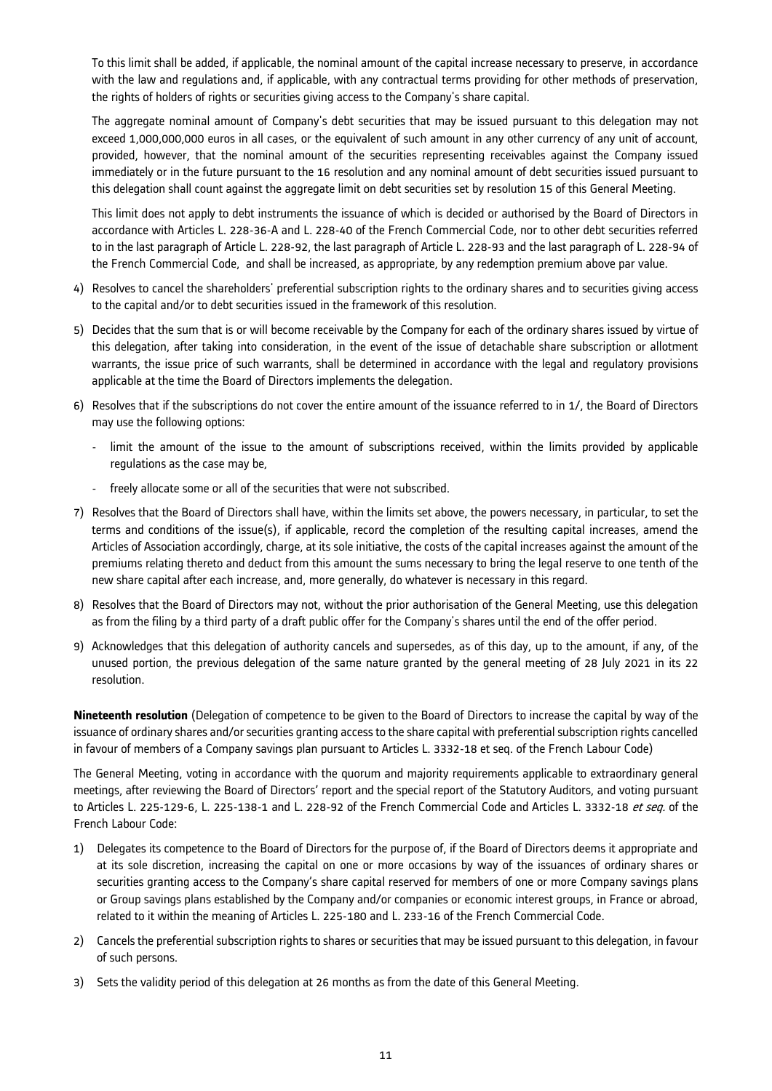To this limit shall be added, if applicable, the nominal amount of the capital increase necessary to preserve, in accordance with the law and regulations and, if applicable, with any contractual terms providing for other methods of preservation, the rights of holders of rights or securities giving access to the Company's share capital.

The aggregate nominal amount of Company's debt securities that may be issued pursuant to this delegation may not exceed 1,000,000,000 euros in all cases, or the equivalent of such amount in any other currency of any unit of account, provided, however, that the nominal amount of the securities representing receivables against the Company issued immediately or in the future pursuant to the 16 resolution and any nominal amount of debt securities issued pursuant to this delegation shall count against the aggregate limit on debt securities set by resolution 15 of this General Meeting.

This limit does not apply to debt instruments the issuance of which is decided or authorised by the Board of Directors in accordance with Articles L. 228-36-A and L. 228-40 of the French Commercial Code, nor to other debt securities referred to in the last paragraph of Article L. 228-92, the last paragraph of Article L. 228-93 and the last paragraph of L. 228-94 of the French Commercial Code, and shall be increased, as appropriate, by any redemption premium above par value.

- 4) Resolves to cancel the shareholders' preferential subscription rights to the ordinary shares and to securities giving access to the capital and/or to debt securities issued in the framework of this resolution.
- 5) Decides that the sum that is or will become receivable by the Company for each of the ordinary shares issued by virtue of this delegation, after taking into consideration, in the event of the issue of detachable share subscription or allotment warrants, the issue price of such warrants, shall be determined in accordance with the legal and regulatory provisions applicable at the time the Board of Directors implements the delegation.
- 6) Resolves that if the subscriptions do not cover the entire amount of the issuance referred to in 1/, the Board of Directors may use the following options:
	- limit the amount of the issue to the amount of subscriptions received, within the limits provided by applicable regulations as the case may be,
	- freely allocate some or all of the securities that were not subscribed.
- 7) Resolves that the Board of Directors shall have, within the limits set above, the powers necessary, in particular, to set the terms and conditions of the issue(s), if applicable, record the completion of the resulting capital increases, amend the Articles of Association accordingly, charge, at its sole initiative, the costs of the capital increases against the amount of the premiums relating thereto and deduct from this amount the sums necessary to bring the legal reserve to one tenth of the new share capital after each increase, and, more generally, do whatever is necessary in this regard.
- 8) Resolves that the Board of Directors may not, without the prior authorisation of the General Meeting, use this delegation as from the filing by a third party of a draft public offer for the Company's shares until the end of the offer period.
- 9) Acknowledges that this delegation of authority cancels and supersedes, as of this day, up to the amount, if any, of the unused portion, the previous delegation of the same nature granted by the general meeting of 28 July 2021 in its 22 resolution.

**Nineteenth resolution** (Delegation of competence to be given to the Board of Directors to increase the capital by way of the issuance of ordinary shares and/or securities granting access to the share capital with preferential subscription rights cancelled in favour of members of a Company savings plan pursuant to Articles L. 3332-18 et seq. of the French Labour Code)

The General Meeting, voting in accordance with the quorum and majority requirements applicable to extraordinary general meetings, after reviewing the Board of Directors' report and the special report of the Statutory Auditors, and voting pursuant to Articles L. 225-129-6, L. 225-138-1 and L. 228-92 of the French Commercial Code and Articles L. 3332-18 et seq. of the French Labour Code:

- 1) Delegates its competence to the Board of Directors for the purpose of, if the Board of Directors deems it appropriate and at its sole discretion, increasing the capital on one or more occasions by way of the issuances of ordinary shares or securities granting access to the Company's share capital reserved for members of one or more Company savings plans or Group savings plans established by the Company and/or companies or economic interest groups, in France or abroad, related to it within the meaning of Articles L. 225-180 and L. 233-16 of the French Commercial Code.
- 2) Cancels the preferential subscription rights to shares or securities that may be issued pursuant to this delegation, in favour of such persons.
- 3) Sets the validity period of this delegation at 26 months as from the date of this General Meeting.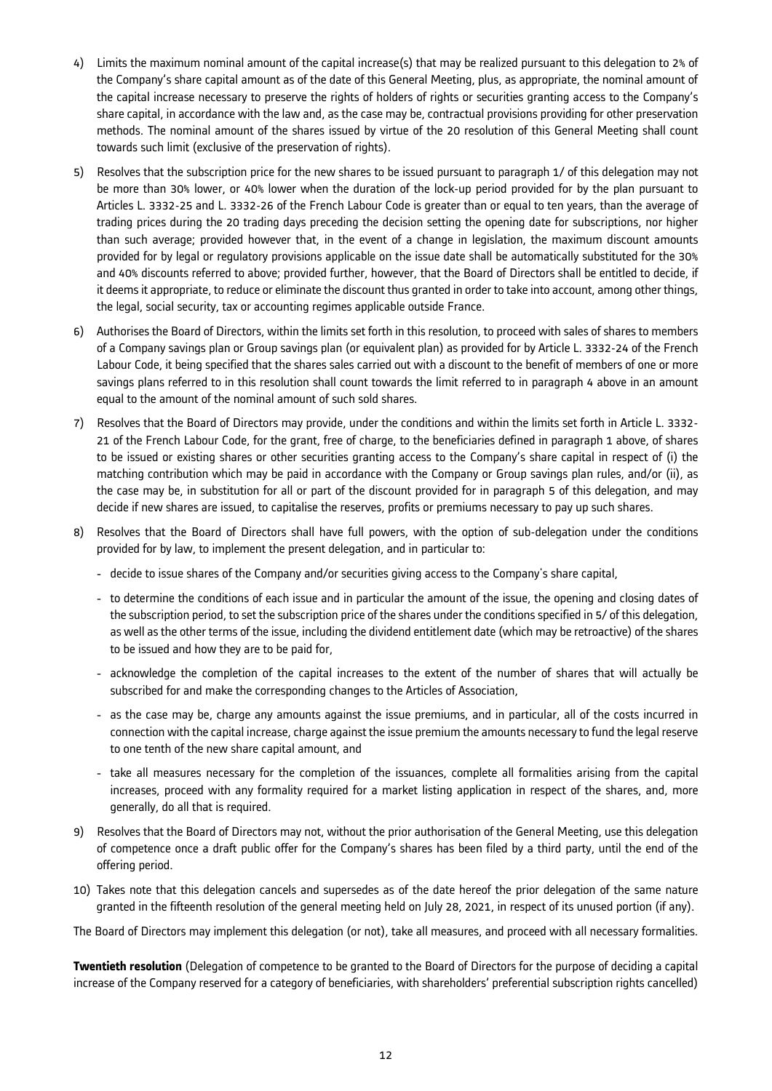- 4) Limits the maximum nominal amount of the capital increase(s) that may be realized pursuant to this delegation to 2% of the Company's share capital amount as of the date of this General Meeting, plus, as appropriate, the nominal amount of the capital increase necessary to preserve the rights of holders of rights or securities granting access to the Company's share capital, in accordance with the law and, as the case may be, contractual provisions providing for other preservation methods. The nominal amount of the shares issued by virtue of the 20 resolution of this General Meeting shall count towards such limit (exclusive of the preservation of rights).
- 5) Resolves that the subscription price for the new shares to be issued pursuant to paragraph 1/ of this delegation may not be more than 30% lower, or 40% lower when the duration of the lock-up period provided for by the plan pursuant to Articles L. 3332-25 and L. 3332-26 of the French Labour Code is greater than or equal to ten years, than the average of trading prices during the 20 trading days preceding the decision setting the opening date for subscriptions, nor higher than such average; provided however that, in the event of a change in legislation, the maximum discount amounts provided for by legal or regulatory provisions applicable on the issue date shall be automatically substituted for the 30% and 40% discounts referred to above; provided further, however, that the Board of Directors shall be entitled to decide, if it deems it appropriate, to reduce or eliminate the discount thus granted in order to take into account, among other things, the legal, social security, tax or accounting regimes applicable outside France.
- 6) Authorises the Board of Directors, within the limits set forth in this resolution, to proceed with sales of shares to members of a Company savings plan or Group savings plan (or equivalent plan) as provided for by Article L. 3332-24 of the French Labour Code, it being specified that the shares sales carried out with a discount to the benefit of members of one or more savings plans referred to in this resolution shall count towards the limit referred to in paragraph 4 above in an amount equal to the amount of the nominal amount of such sold shares.
- 7) Resolves that the Board of Directors may provide, under the conditions and within the limits set forth in Article L. 3332- 21 of the French Labour Code, for the grant, free of charge, to the beneficiaries defined in paragraph 1 above, of shares to be issued or existing shares or other securities granting access to the Company's share capital in respect of (i) the matching contribution which may be paid in accordance with the Company or Group savings plan rules, and/or (ii), as the case may be, in substitution for all or part of the discount provided for in paragraph 5 of this delegation, and may decide if new shares are issued, to capitalise the reserves, profits or premiums necessary to pay up such shares.
- 8) Resolves that the Board of Directors shall have full powers, with the option of sub-delegation under the conditions provided for by law, to implement the present delegation, and in particular to:
	- decide to issue shares of the Company and/or securities giving access to the Company's share capital,
	- to determine the conditions of each issue and in particular the amount of the issue, the opening and closing dates of the subscription period, to set the subscription price of the shares under the conditions specified in 5/ of this delegation, as well as the other terms of the issue, including the dividend entitlement date (which may be retroactive) of the shares to be issued and how they are to be paid for,
	- acknowledge the completion of the capital increases to the extent of the number of shares that will actually be subscribed for and make the corresponding changes to the Articles of Association,
	- as the case may be, charge any amounts against the issue premiums, and in particular, all of the costs incurred in connection with the capital increase, charge against the issue premium the amounts necessary to fund the legal reserve to one tenth of the new share capital amount, and
	- take all measures necessary for the completion of the issuances, complete all formalities arising from the capital increases, proceed with any formality required for a market listing application in respect of the shares, and, more generally, do all that is required.
- 9) Resolves that the Board of Directors may not, without the prior authorisation of the General Meeting, use this delegation of competence once a draft public offer for the Company's shares has been filed by a third party, until the end of the offering period.
- 10) Takes note that this delegation cancels and supersedes as of the date hereof the prior delegation of the same nature granted in the fifteenth resolution of the general meeting held on July 28, 2021, in respect of its unused portion (if any).

The Board of Directors may implement this delegation (or not), take all measures, and proceed with all necessary formalities.

**Twentieth resolution** (Delegation of competence to be granted to the Board of Directors for the purpose of deciding a capital increase of the Company reserved for a category of beneficiaries, with shareholders' preferential subscription rights cancelled)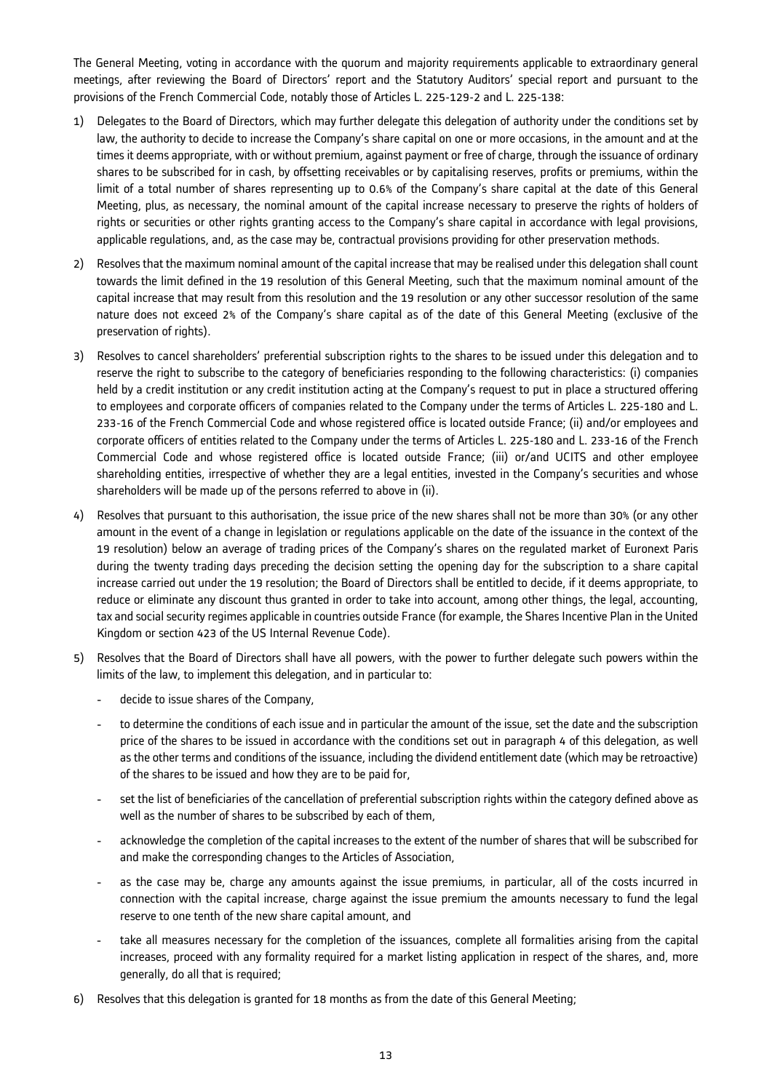The General Meeting, voting in accordance with the quorum and majority requirements applicable to extraordinary general meetings, after reviewing the Board of Directors' report and the Statutory Auditors' special report and pursuant to the provisions of the French Commercial Code, notably those of Articles L. 225-129-2 and L. 225-138:

- 1) Delegates to the Board of Directors, which may further delegate this delegation of authority under the conditions set by law, the authority to decide to increase the Company's share capital on one or more occasions, in the amount and at the times it deems appropriate, with or without premium, against payment or free of charge, through the issuance of ordinary shares to be subscribed for in cash, by offsetting receivables or by capitalising reserves, profits or premiums, within the limit of a total number of shares representing up to 0.6% of the Company's share capital at the date of this General Meeting, plus, as necessary, the nominal amount of the capital increase necessary to preserve the rights of holders of rights or securities or other rights granting access to the Company's share capital in accordance with legal provisions, applicable regulations, and, as the case may be, contractual provisions providing for other preservation methods.
- 2) Resolves that the maximum nominal amount of the capital increase that may be realised under this delegation shall count towards the limit defined in the 19 resolution of this General Meeting, such that the maximum nominal amount of the capital increase that may result from this resolution and the 19 resolution or any other successor resolution of the same nature does not exceed 2% of the Company's share capital as of the date of this General Meeting (exclusive of the preservation of rights).
- 3) Resolves to cancel shareholders' preferential subscription rights to the shares to be issued under this delegation and to reserve the right to subscribe to the category of beneficiaries responding to the following characteristics: (i) companies held by a credit institution or any credit institution acting at the Company's request to put in place a structured offering to employees and corporate officers of companies related to the Company under the terms of Articles L. 225-180 and L. 233-16 of the French Commercial Code and whose registered office is located outside France; (ii) and/or employees and corporate officers of entities related to the Company under the terms of Articles L. 225-180 and L. 233-16 of the French Commercial Code and whose registered office is located outside France; (iii) or/and UCITS and other employee shareholding entities, irrespective of whether they are a legal entities, invested in the Company's securities and whose shareholders will be made up of the persons referred to above in (ii).
- 4) Resolves that pursuant to this authorisation, the issue price of the new shares shall not be more than 30% (or any other amount in the event of a change in legislation or regulations applicable on the date of the issuance in the context of the 19 resolution) below an average of trading prices of the Company's shares on the regulated market of Euronext Paris during the twenty trading days preceding the decision setting the opening day for the subscription to a share capital increase carried out under the 19 resolution; the Board of Directors shall be entitled to decide, if it deems appropriate, to reduce or eliminate any discount thus granted in order to take into account, among other things, the legal, accounting, tax and social security regimes applicable in countries outside France (for example, the Shares Incentive Plan in the United Kingdom or section 423 of the US Internal Revenue Code).
- 5) Resolves that the Board of Directors shall have all powers, with the power to further delegate such powers within the limits of the law, to implement this delegation, and in particular to:
	- decide to issue shares of the Company,
	- to determine the conditions of each issue and in particular the amount of the issue, set the date and the subscription price of the shares to be issued in accordance with the conditions set out in paragraph 4 of this delegation, as well as the other terms and conditions of the issuance, including the dividend entitlement date (which may be retroactive) of the shares to be issued and how they are to be paid for,
	- set the list of beneficiaries of the cancellation of preferential subscription rights within the category defined above as well as the number of shares to be subscribed by each of them,
	- acknowledge the completion of the capital increases to the extent of the number of shares that will be subscribed for and make the corresponding changes to the Articles of Association,
	- as the case may be, charge any amounts against the issue premiums, in particular, all of the costs incurred in connection with the capital increase, charge against the issue premium the amounts necessary to fund the legal reserve to one tenth of the new share capital amount, and
	- take all measures necessary for the completion of the issuances, complete all formalities arising from the capital increases, proceed with any formality required for a market listing application in respect of the shares, and, more generally, do all that is required;
- 6) Resolves that this delegation is granted for 18 months as from the date of this General Meeting;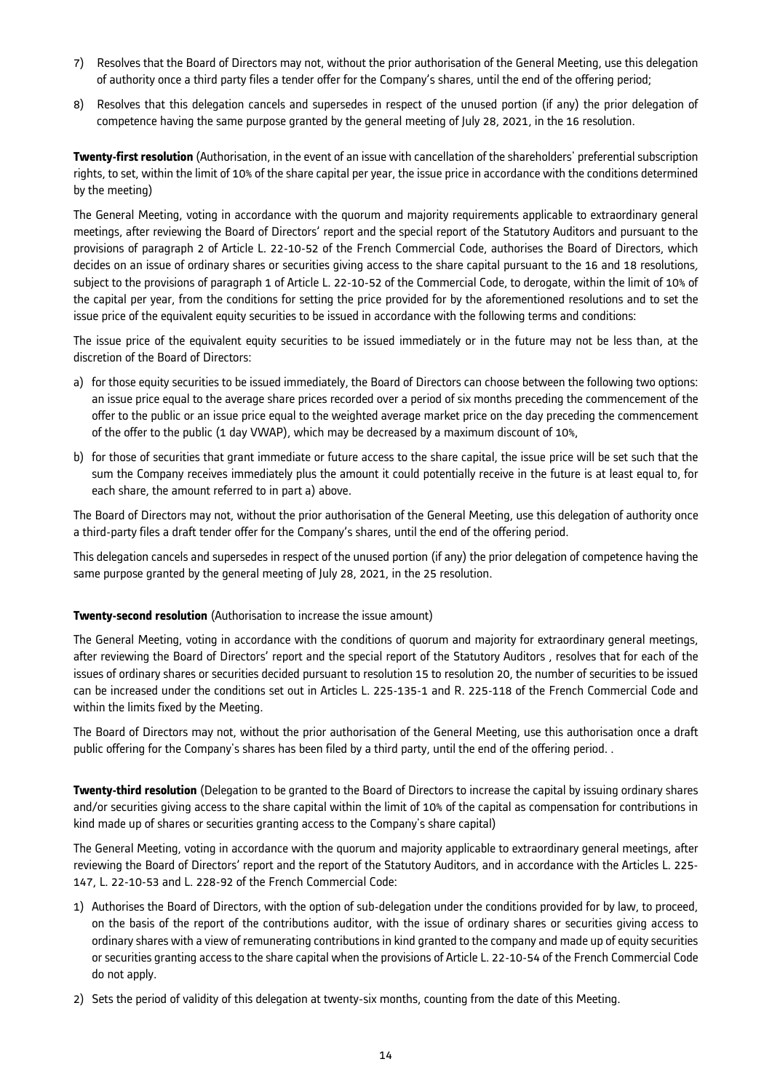- 7) Resolves that the Board of Directors may not, without the prior authorisation of the General Meeting, use this delegation of authority once a third party files a tender offer for the Company's shares, until the end of the offering period;
- 8) Resolves that this delegation cancels and supersedes in respect of the unused portion (if any) the prior delegation of competence having the same purpose granted by the general meeting of July 28, 2021, in the 16 resolution.

**Twenty-first resolution** (Authorisation, in the event of an issue with cancellation of the shareholders' preferential subscription rights, to set, within the limit of 10% of the share capital per year, the issue price in accordance with the conditions determined by the meeting)

The General Meeting, voting in accordance with the quorum and majority requirements applicable to extraordinary general meetings, after reviewing the Board of Directors' report and the special report of the Statutory Auditors and pursuant to the provisions of paragraph 2 of Article L. 22-10-52 of the French Commercial Code, authorises the Board of Directors, which decides on an issue of ordinary shares or securities giving access to the share capital pursuant to the 16 and 18 resolutions, subject to the provisions of paragraph 1 of Article L. 22-10-52 of the Commercial Code, to derogate, within the limit of 10% of the capital per year, from the conditions for setting the price provided for by the aforementioned resolutions and to set the issue price of the equivalent equity securities to be issued in accordance with the following terms and conditions:

The issue price of the equivalent equity securities to be issued immediately or in the future may not be less than, at the discretion of the Board of Directors:

- a) for those equity securities to be issued immediately, the Board of Directors can choose between the following two options: an issue price equal to the average share prices recorded over a period of six months preceding the commencement of the offer to the public or an issue price equal to the weighted average market price on the day preceding the commencement of the offer to the public (1 day VWAP), which may be decreased by a maximum discount of 10%,
- b) for those of securities that grant immediate or future access to the share capital, the issue price will be set such that the sum the Company receives immediately plus the amount it could potentially receive in the future is at least equal to, for each share, the amount referred to in part a) above.

The Board of Directors may not, without the prior authorisation of the General Meeting, use this delegation of authority once a third-party files a draft tender offer for the Company's shares, until the end of the offering period.

This delegation cancels and supersedes in respect of the unused portion (if any) the prior delegation of competence having the same purpose granted by the general meeting of July 28, 2021, in the 25 resolution.

### **Twenty-second resolution** (Authorisation to increase the issue amount)

The General Meeting, voting in accordance with the conditions of quorum and majority for extraordinary general meetings, after reviewing the Board of Directors' report and the special report of the Statutory Auditors , resolves that for each of the issues of ordinary shares or securities decided pursuant to resolution 15 to resolution 20, the number of securities to be issued can be increased under the conditions set out in Articles L. 225-135-1 and R. 225-118 of the French Commercial Code and within the limits fixed by the Meeting.

The Board of Directors may not, without the prior authorisation of the General Meeting, use this authorisation once a draft public offering for the Company's shares has been filed by a third party, until the end of the offering period. .

**Twenty-third resolution** (Delegation to be granted to the Board of Directors to increase the capital by issuing ordinary shares and/or securities giving access to the share capital within the limit of 10% of the capital as compensation for contributions in kind made up of shares or securities granting access to the Company's share capital)

The General Meeting, voting in accordance with the quorum and majority applicable to extraordinary general meetings, after reviewing the Board of Directors' report and the report of the Statutory Auditors, and in accordance with the Articles L. 225- 147, L. 22-10-53 and L. 228-92 of the French Commercial Code:

- 1) Authorises the Board of Directors, with the option of sub-delegation under the conditions provided for by law, to proceed, on the basis of the report of the contributions auditor, with the issue of ordinary shares or securities giving access to ordinary shares with a view of remunerating contributions in kind granted to the company and made up of equity securities or securities granting access to the share capital when the provisions of Article L. 22-10-54 of the French Commercial Code do not apply.
- 2) Sets the period of validity of this delegation at twenty-six months, counting from the date of this Meeting.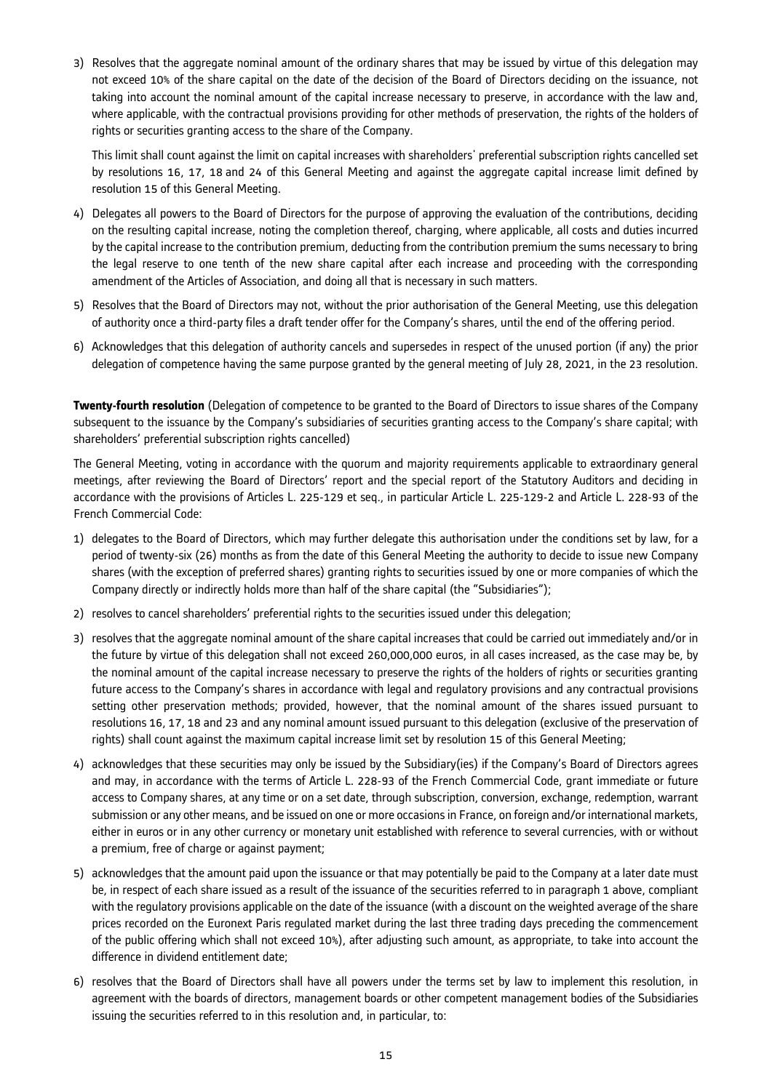3) Resolves that the aggregate nominal amount of the ordinary shares that may be issued by virtue of this delegation may not exceed 10% of the share capital on the date of the decision of the Board of Directors deciding on the issuance, not taking into account the nominal amount of the capital increase necessary to preserve, in accordance with the law and, where applicable, with the contractual provisions providing for other methods of preservation, the rights of the holders of rights or securities granting access to the share of the Company.

This limit shall count against the limit on capital increases with shareholders' preferential subscription rights cancelled set by resolutions 16, 17, 18 and 24 of this General Meeting and against the aggregate capital increase limit defined by resolution 15 of this General Meeting.

- 4) Delegates all powers to the Board of Directors for the purpose of approving the evaluation of the contributions, deciding on the resulting capital increase, noting the completion thereof, charging, where applicable, all costs and duties incurred by the capital increase to the contribution premium, deducting from the contribution premium the sums necessary to bring the legal reserve to one tenth of the new share capital after each increase and proceeding with the corresponding amendment of the Articles of Association, and doing all that is necessary in such matters.
- 5) Resolves that the Board of Directors may not, without the prior authorisation of the General Meeting, use this delegation of authority once a third-party files a draft tender offer for the Company's shares, until the end of the offering period.
- 6) Acknowledges that this delegation of authority cancels and supersedes in respect of the unused portion (if any) the prior delegation of competence having the same purpose granted by the general meeting of July 28, 2021, in the 23 resolution.

**Twenty-fourth resolution** (Delegation of competence to be granted to the Board of Directors to issue shares of the Company subsequent to the issuance by the Company's subsidiaries of securities granting access to the Company's share capital; with shareholders' preferential subscription rights cancelled)

The General Meeting, voting in accordance with the quorum and majority requirements applicable to extraordinary general meetings, after reviewing the Board of Directors' report and the special report of the Statutory Auditors and deciding in accordance with the provisions of Articles L. 225-129 et seq., in particular Article L. 225-129-2 and Article L. 228-93 of the French Commercial Code:

- 1) delegates to the Board of Directors, which may further delegate this authorisation under the conditions set by law, for a period of twenty-six (26) months as from the date of this General Meeting the authority to decide to issue new Company shares (with the exception of preferred shares) granting rights to securities issued by one or more companies of which the Company directly or indirectly holds more than half of the share capital (the "Subsidiaries");
- 2) resolves to cancel shareholders' preferential rights to the securities issued under this delegation;
- 3) resolves that the aggregate nominal amount of the share capital increases that could be carried out immediately and/or in the future by virtue of this delegation shall not exceed 260,000,000 euros, in all cases increased, as the case may be, by the nominal amount of the capital increase necessary to preserve the rights of the holders of rights or securities granting future access to the Company's shares in accordance with legal and regulatory provisions and any contractual provisions setting other preservation methods; provided, however, that the nominal amount of the shares issued pursuant to resolutions 16, 17, 18 and 23 and any nominal amount issued pursuant to this delegation (exclusive of the preservation of rights) shall count against the maximum capital increase limit set by resolution 15 of this General Meeting;
- 4) acknowledges that these securities may only be issued by the Subsidiary(ies) if the Company's Board of Directors agrees and may, in accordance with the terms of Article L. 228-93 of the French Commercial Code, grant immediate or future access to Company shares, at any time or on a set date, through subscription, conversion, exchange, redemption, warrant submission or any other means, and be issued on one or more occasions in France, on foreign and/or international markets, either in euros or in any other currency or monetary unit established with reference to several currencies, with or without a premium, free of charge or against payment;
- 5) acknowledges that the amount paid upon the issuance or that may potentially be paid to the Company at a later date must be, in respect of each share issued as a result of the issuance of the securities referred to in paragraph 1 above, compliant with the regulatory provisions applicable on the date of the issuance (with a discount on the weighted average of the share prices recorded on the Euronext Paris regulated market during the last three trading days preceding the commencement of the public offering which shall not exceed 10%), after adjusting such amount, as appropriate, to take into account the difference in dividend entitlement date;
- 6) resolves that the Board of Directors shall have all powers under the terms set by law to implement this resolution, in agreement with the boards of directors, management boards or other competent management bodies of the Subsidiaries issuing the securities referred to in this resolution and, in particular, to: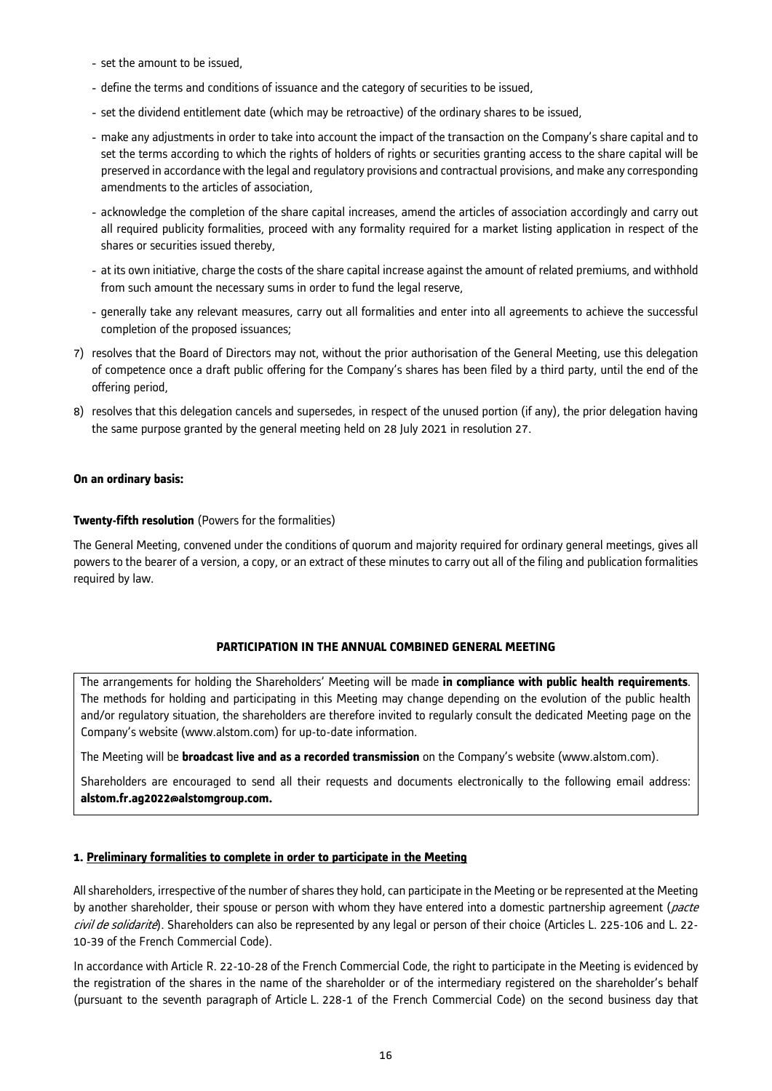- set the amount to be issued,
- define the terms and conditions of issuance and the category of securities to be issued,
- set the dividend entitlement date (which may be retroactive) of the ordinary shares to be issued,
- make any adjustments in order to take into account the impact of the transaction on the Company's share capital and to set the terms according to which the rights of holders of rights or securities granting access to the share capital will be preserved in accordance with the legal and regulatory provisions and contractual provisions, and make any corresponding amendments to the articles of association,
- acknowledge the completion of the share capital increases, amend the articles of association accordingly and carry out all required publicity formalities, proceed with any formality required for a market listing application in respect of the shares or securities issued thereby,
- at its own initiative, charge the costs of the share capital increase against the amount of related premiums, and withhold from such amount the necessary sums in order to fund the legal reserve,
- generally take any relevant measures, carry out all formalities and enter into all agreements to achieve the successful completion of the proposed issuances;
- 7) resolves that the Board of Directors may not, without the prior authorisation of the General Meeting, use this delegation of competence once a draft public offering for the Company's shares has been filed by a third party, until the end of the offering period,
- 8) resolves that this delegation cancels and supersedes, in respect of the unused portion (if any), the prior delegation having the same purpose granted by the general meeting held on 28 July 2021 in resolution 27.

## **On an ordinary basis:**

## **Twenty-fifth resolution** (Powers for the formalities)

The General Meeting, convened under the conditions of quorum and majority required for ordinary general meetings, gives all powers to the bearer of a version, a copy, or an extract of these minutes to carry out all of the filing and publication formalities required by law.

# **PARTICIPATION IN THE ANNUAL COMBINED GENERAL MEETING**

The arrangements for holding the Shareholders' Meeting will be made **in compliance with public health requirements**. The methods for holding and participating in this Meeting may change depending on the evolution of the public health and/or regulatory situation, the shareholders are therefore invited to regularly consult the dedicated Meeting page on the Company's website (www.alstom.com) for up-to-date information.

The Meeting will be **broadcast live and as a recorded transmission** on the Company's website (www.alstom.com).

Shareholders are encouraged to send all their requests and documents electronically to the following email address: **alstom.fr.ag2022@alstomgroup.com.**

# **1. Preliminary formalities to complete in order to participate in the Meeting**

All shareholders, irrespective of the number of shares they hold, can participate in the Meeting or be represented at the Meeting by another shareholder, their spouse or person with whom they have entered into a domestic partnership agreement (pacte civil de solidarité). Shareholders can also be represented by any legal or person of their choice (Articles L. 225-106 and L. 22-10-39 of the French Commercial Code).

In accordance with Article R. 22-10-28 of the French Commercial Code, the right to participate in the Meeting is evidenced by the registration of the shares in the name of the shareholder or of the intermediary registered on the shareholder's behalf (pursuant to the seventh paragraph of Article L. 228-1 of the French Commercial Code) on the second business day that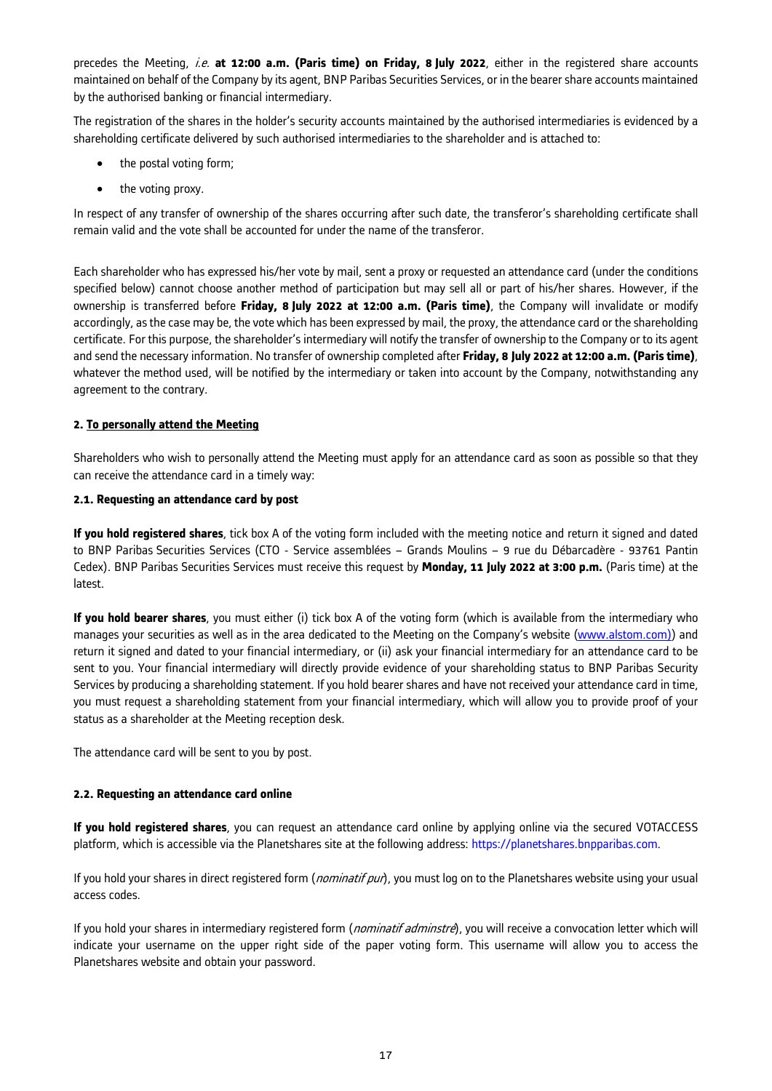precedes the Meeting, *i.e.* at 12:00 a.m. (Paris time) on Friday, 8 July 2022, either in the registered share accounts maintained on behalf of the Company by its agent, BNP Paribas Securities Services, or in the bearer share accounts maintained by the authorised banking or financial intermediary.

The registration of the shares in the holder's security accounts maintained by the authorised intermediaries is evidenced by a shareholding certificate delivered by such authorised intermediaries to the shareholder and is attached to:

- the postal voting form;
- the voting proxy.

In respect of any transfer of ownership of the shares occurring after such date, the transferor's shareholding certificate shall remain valid and the vote shall be accounted for under the name of the transferor.

Each shareholder who has expressed his/her vote by mail, sent a proxy or requested an attendance card (under the conditions specified below) cannot choose another method of participation but may sell all or part of his/her shares. However, if the ownership is transferred before **Friday, 8 July 2022 at 12:00 a.m. (Paris time)**, the Company will invalidate or modify accordingly, as the case may be, the vote which has been expressed by mail, the proxy, the attendance card or the shareholding certificate. For this purpose, the shareholder's intermediary will notify the transfer of ownership to the Company or to its agent and send the necessary information. No transfer of ownership completed after **Friday, 8 July 2022 at 12:00 a.m. (Paris time)**, whatever the method used, will be notified by the intermediary or taken into account by the Company, notwithstanding any agreement to the contrary.

# **2. To personally attend the Meeting**

Shareholders who wish to personally attend the Meeting must apply for an attendance card as soon as possible so that they can receive the attendance card in a timely way:

## **2.1. Requesting an attendance card by post**

**If you hold registered shares**, tick box A of the voting form included with the meeting notice and return it signed and dated to BNP Paribas Securities Services (CTO - Service assemblées – Grands Moulins – 9 rue du Débarcadère - 93761 Pantin Cedex). BNP Paribas Securities Services must receive this request by **Monday, 11 July 2022 at 3:00 p.m.** (Paris time) at the latest.

**If you hold bearer shares**, you must either (i) tick box A of the voting form (which is available from the intermediary who manages your securities as well as in the area dedicated to the Meeting on the Company's website (www.alstom.com)) and return it signed and dated to your financial intermediary, or (ii) ask your financial intermediary for an attendance card to be sent to you. Your financial intermediary will directly provide evidence of your shareholding status to BNP Paribas Security Services by producing a shareholding statement. If you hold bearer shares and have not received your attendance card in time, you must request a shareholding statement from your financial intermediary, which will allow you to provide proof of your status as a shareholder at the Meeting reception desk.

The attendance card will be sent to you by post.

# **2.2. Requesting an attendance card online**

**If you hold registered shares**, you can request an attendance card online by applying online via the secured VOTACCESS platform, which is accessible via the Planetshares site at the following address: https://planetshares.bnpparibas.com.

If you hold your shares in direct registered form (*nominatif pur*), you must log on to the Planetshares website using your usual access codes.

If you hold your shares in intermediary registered form (*nominatif adminstré*), you will receive a convocation letter which will indicate your username on the upper right side of the paper voting form. This username will allow you to access the Planetshares website and obtain your password.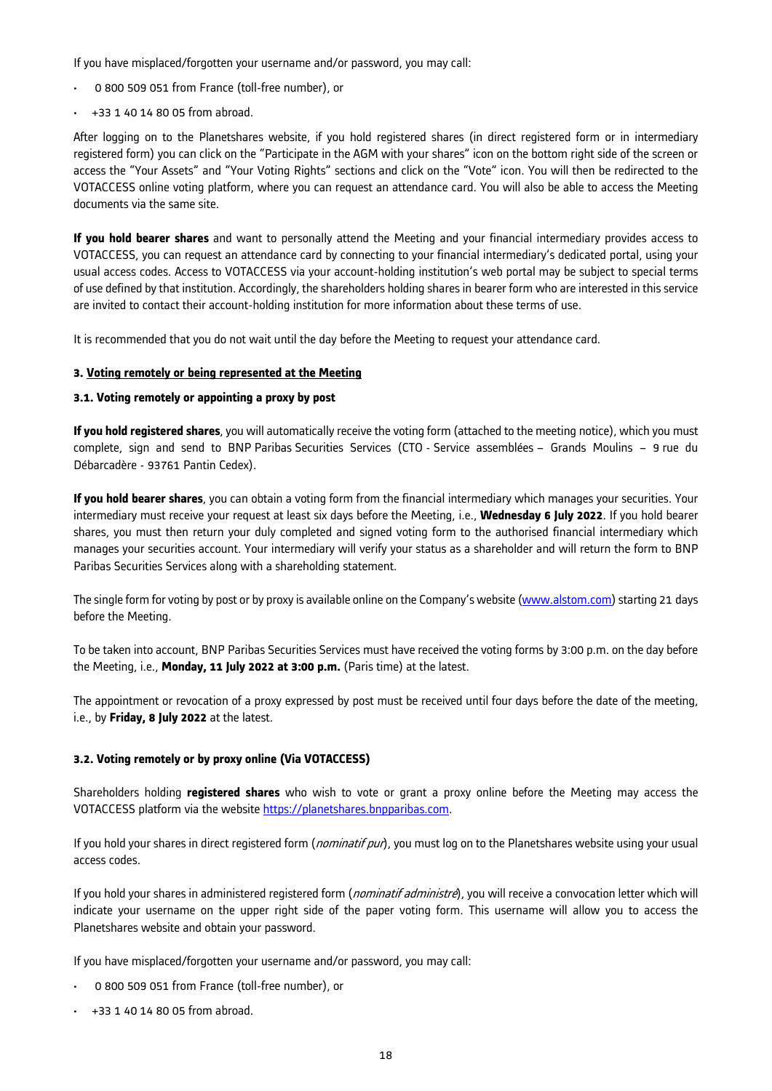If you have misplaced/forgotten your username and/or password, you may call:

- 0 800 509 051 from France (toll-free number), or
- +33 1 40 14 80 05 from abroad.

After logging on to the Planetshares website, if you hold registered shares (in direct registered form or in intermediary registered form) you can click on the "Participate in the AGM with your shares" icon on the bottom right side of the screen or access the "Your Assets" and "Your Voting Rights" sections and click on the "Vote" icon. You will then be redirected to the VOTACCESS online voting platform, where you can request an attendance card. You will also be able to access the Meeting documents via the same site.

**If you hold bearer shares** and want to personally attend the Meeting and your financial intermediary provides access to VOTACCESS, you can request an attendance card by connecting to your financial intermediary's dedicated portal, using your usual access codes. Access to VOTACCESS via your account-holding institution's web portal may be subject to special terms of use defined by that institution. Accordingly, the shareholders holding shares in bearer form who are interested in this service are invited to contact their account-holding institution for more information about these terms of use.

It is recommended that you do not wait until the day before the Meeting to request your attendance card.

### **3. Voting remotely or being represented at the Meeting**

### **3.1. Voting remotely or appointing a proxy by post**

**If you hold registered shares**, you will automatically receive the voting form (attached to the meeting notice), which you must complete, sign and send to BNP Paribas Securities Services (CTO - Service assemblées – Grands Moulins – 9 rue du Débarcadère - 93761 Pantin Cedex).

**If you hold bearer shares**, you can obtain a voting form from the financial intermediary which manages your securities. Your intermediary must receive your request at least six days before the Meeting, i.e., **Wednesday 6 July 2022**. If you hold bearer shares, you must then return your duly completed and signed voting form to the authorised financial intermediary which manages your securities account. Your intermediary will verify your status as a shareholder and will return the form to BNP Paribas Securities Services along with a shareholding statement.

The single form for voting by post or by proxy is available online on the Company's website (www.alstom.com) starting 21 days before the Meeting.

To be taken into account, BNP Paribas Securities Services must have received the voting forms by 3:00 p.m. on the day before the Meeting, i.e., **Monday, 11 July 2022 at 3:00 p.m.** (Paris time) at the latest.

The appointment or revocation of a proxy expressed by post must be received until four days before the date of the meeting, i.e., by **Friday, 8 July 2022** at the latest.

### **3.2. Voting remotely or by proxy online (Via VOTACCESS)**

Shareholders holding **registered shares** who wish to vote or grant a proxy online before the Meeting may access the VOTACCESS platform via the website https://planetshares.bnpparibas.com.

If you hold your shares in direct registered form (*nominatif pur*), you must log on to the Planetshares website using your usual access codes.

If you hold your shares in administered registered form (*nominatif administre*), you will receive a convocation letter which will indicate your username on the upper right side of the paper voting form. This username will allow you to access the Planetshares website and obtain your password.

If you have misplaced/forgotten your username and/or password, you may call:

- 0 800 509 051 from France (toll-free number), or
- +33 1 40 14 80 05 from abroad.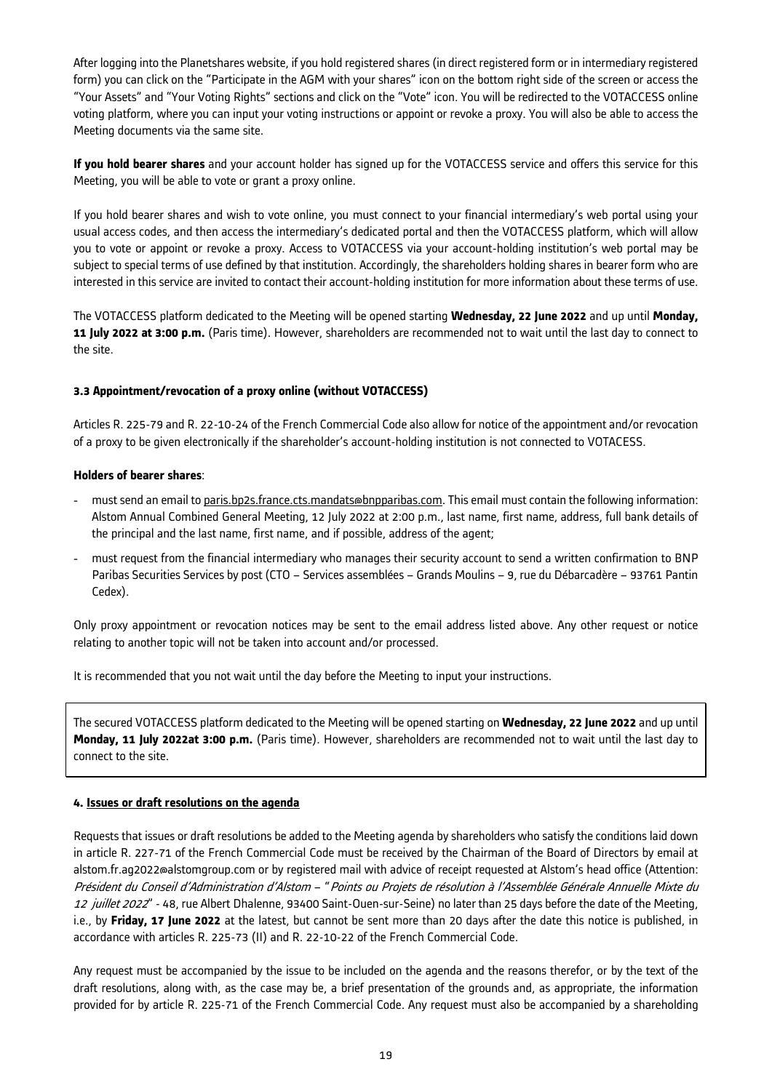After logging into the Planetshares website, if you hold registered shares (in direct registered form or in intermediary registered form) you can click on the "Participate in the AGM with your shares" icon on the bottom right side of the screen or access the "Your Assets" and "Your Voting Rights" sections and click on the "Vote" icon. You will be redirected to the VOTACCESS online voting platform, where you can input your voting instructions or appoint or revoke a proxy. You will also be able to access the Meeting documents via the same site.

**If you hold bearer shares** and your account holder has signed up for the VOTACCESS service and offers this service for this Meeting, you will be able to vote or grant a proxy online.

If you hold bearer shares and wish to vote online, you must connect to your financial intermediary's web portal using your usual access codes, and then access the intermediary's dedicated portal and then the VOTACCESS platform, which will allow you to vote or appoint or revoke a proxy. Access to VOTACCESS via your account-holding institution's web portal may be subject to special terms of use defined by that institution. Accordingly, the shareholders holding shares in bearer form who are interested in this service are invited to contact their account-holding institution for more information about these terms of use.

The VOTACCESS platform dedicated to the Meeting will be opened starting **Wednesday, 22 June 2022** and up until **Monday, 11 July 2022 at 3:00 p.m.** (Paris time). However, shareholders are recommended not to wait until the last day to connect to the site.

## **3.3 Appointment/revocation of a proxy online (without VOTACCESS)**

Articles R. 225-79 and R. 22-10-24 of the French Commercial Code also allow for notice of the appointment and/or revocation of a proxy to be given electronically if the shareholder's account-holding institution is not connected to VOTACESS.

## **Holders of bearer shares**:

- must send an email to paris.bp2s.france.cts.mandats@bnpparibas.com. This email must contain the following information: Alstom Annual Combined General Meeting, 12 July 2022 at 2:00 p.m., last name, first name, address, full bank details of the principal and the last name, first name, and if possible, address of the agent;
- must request from the financial intermediary who manages their security account to send a written confirmation to BNP Paribas Securities Services by post (CTO – Services assemblées – Grands Moulins – 9, rue du Débarcadère – 93761 Pantin Cedex).

Only proxy appointment or revocation notices may be sent to the email address listed above. Any other request or notice relating to another topic will not be taken into account and/or processed.

It is recommended that you not wait until the day before the Meeting to input your instructions.

The secured VOTACCESS platform dedicated to the Meeting will be opened starting on **Wednesday, 22 June 2022** and up until **Monday, 11 July 2022at 3:00 p.m.** (Paris time). However, shareholders are recommended not to wait until the last day to connect to the site.

### **4. Issues or draft resolutions on the agenda**

Requests that issues or draft resolutions be added to the Meeting agenda by shareholders who satisfy the conditions laid down in article R. 227-71 of the French Commercial Code must be received by the Chairman of the Board of Directors by email at alstom.fr.ag2022@alstomgroup.com or by registered mail with advice of receipt requested at Alstom's head office (Attention: Président du Conseil d'Administration d'Alstom – "Points ou Projets de résolution à l'Assemblée Générale Annuelle Mixte du 12 juillet 2022" - 48, rue Albert Dhalenne, 93400 Saint-Ouen-sur-Seine) no later than 25 days before the date of the Meeting, i.e., by **Friday, 17 June 2022** at the latest, but cannot be sent more than 20 days after the date this notice is published, in accordance with articles R. 225-73 (II) and R. 22-10-22 of the French Commercial Code.

Any request must be accompanied by the issue to be included on the agenda and the reasons therefor, or by the text of the draft resolutions, along with, as the case may be, a brief presentation of the grounds and, as appropriate, the information provided for by article R. 225-71 of the French Commercial Code. Any request must also be accompanied by a shareholding